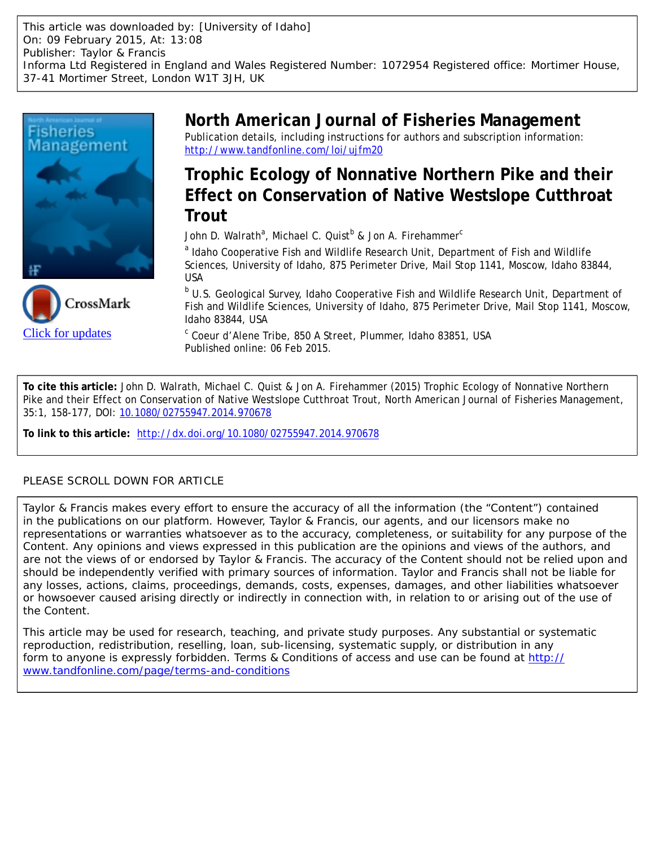This article was downloaded by: [University of Idaho] On: 09 February 2015, At: 13:08 Publisher: Taylor & Francis Informa Ltd Registered in England and Wales Registered Number: 1072954 Registered office: Mortimer House, 37-41 Mortimer Street, London W1T 3JH, UK



[Click for updates](http://crossmark.crossref.org/dialog/?doi=10.1080/02755947.2014.970678&domain=pdf&date_stamp=2015-02-06)

# **North American Journal of Fisheries Management**

Publication details, including instructions for authors and subscription information: <http://www.tandfonline.com/loi/ujfm20>

**Trophic Ecology of Nonnative Northern Pike and their Effect on Conservation of Native Westslope Cutthroat Trout**

John D. Walrath<sup>a</sup>, Michael C. Quist<sup>b</sup> & Jon A. Firehammer<sup>c</sup>

<sup>a</sup> Idaho Cooperative Fish and Wildlife Research Unit, Department of Fish and Wildlife Sciences, University of Idaho, 875 Perimeter Drive, Mail Stop 1141, Moscow, Idaho 83844, USA

<sup>b</sup> U.S. Geological Survey, Idaho Cooperative Fish and Wildlife Research Unit, Department of Fish and Wildlife Sciences, University of Idaho, 875 Perimeter Drive, Mail Stop 1141, Moscow, Idaho 83844, USA

<sup>c</sup> Coeur d'Alene Tribe, 850 A Street, Plummer, Idaho 83851, USA Published online: 06 Feb 2015.

**To cite this article:** John D. Walrath, Michael C. Quist & Jon A. Firehammer (2015) Trophic Ecology of Nonnative Northern Pike and their Effect on Conservation of Native Westslope Cutthroat Trout, North American Journal of Fisheries Management, 35:1, 158-177, DOI: [10.1080/02755947.2014.970678](http://www.tandfonline.com/action/showCitFormats?doi=10.1080/02755947.2014.970678)

**To link to this article:** <http://dx.doi.org/10.1080/02755947.2014.970678>

## PLEASE SCROLL DOWN FOR ARTICLE

Taylor & Francis makes every effort to ensure the accuracy of all the information (the "Content") contained in the publications on our platform. However, Taylor & Francis, our agents, and our licensors make no representations or warranties whatsoever as to the accuracy, completeness, or suitability for any purpose of the Content. Any opinions and views expressed in this publication are the opinions and views of the authors, and are not the views of or endorsed by Taylor & Francis. The accuracy of the Content should not be relied upon and should be independently verified with primary sources of information. Taylor and Francis shall not be liable for any losses, actions, claims, proceedings, demands, costs, expenses, damages, and other liabilities whatsoever or howsoever caused arising directly or indirectly in connection with, in relation to or arising out of the use of the Content.

This article may be used for research, teaching, and private study purposes. Any substantial or systematic reproduction, redistribution, reselling, loan, sub-licensing, systematic supply, or distribution in any form to anyone is expressly forbidden. Terms & Conditions of access and use can be found at [http://](http://www.tandfonline.com/page/terms-and-conditions) [www.tandfonline.com/page/terms-and-conditions](http://www.tandfonline.com/page/terms-and-conditions)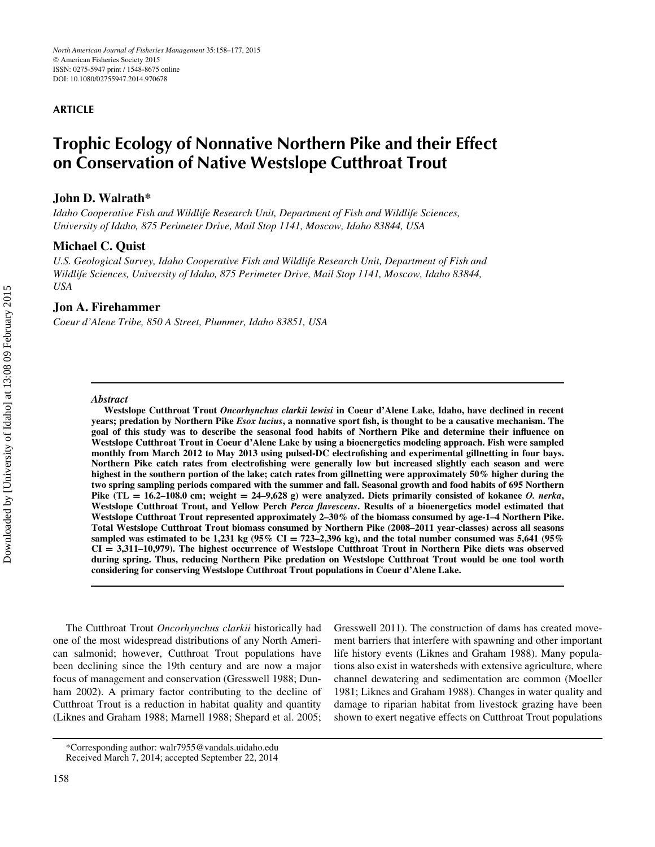### ARTICLE

## Trophic Ecology of Nonnative Northern Pike and their Effect on Conservation of Native Westslope Cutthroat Trout

## John D. Walrath\*

Idaho Cooperative Fish and Wildlife Research Unit, Department of Fish and Wildlife Sciences, University of Idaho, 875 Perimeter Drive, Mail Stop 1141, Moscow, Idaho 83844, USA

### Michael C. Quist

U.S. Geological Survey, Idaho Cooperative Fish and Wildlife Research Unit, Department of Fish and Wildlife Sciences, University of Idaho, 875 Perimeter Drive, Mail Stop 1141, Moscow, Idaho 83844, USA

## Jon A. Firehammer

Coeur d'Alene Tribe, 850 A Street, Plummer, Idaho 83851, USA

#### **A**bstract

Westslope Cutthroat Trout Oncorhynchus clarkii lewisi in Coeur d'Alene Lake, Idaho, have declined in recent years; predation by Northern Pike Esox lucius, a nonnative sport fish, is thought to be a causative mechanism. The goal of this study was to describe the seasonal food habits of Northern Pike and determine their influence on Westslope Cutthroat Trout in Coeur d'Alene Lake by using a bioenergetics modeling approach. Fish were sampled monthly from March 2012 to May 2013 using pulsed-DC electrofishing and experimental gillnetting in four bays. Northern Pike catch rates from electrofishing were generally low but increased slightly each season and were highest in the southern portion of the lake; catch rates from gillnetting were approximately 50% higher during the two spring sampling periods compared with the summer and fall. Seasonal growth and food habits of 695 Northern Pike (TL = 16.2–108.0 cm; weight = 24–9,628 g) were analyzed. Diets primarily consisted of kokanee O. nerka, Westslope Cutthroat Trout, and Yellow Perch Perca flavescens. Results of a bioenergetics model estimated that Westslope Cutthroat Trout represented approximately 2–30% of the biomass consumed by age-1–4 Northern Pike. Total Westslope Cutthroat Trout biomass consumed by Northern Pike (2008–2011 year-classes) across all seasons sampled was estimated to be 1,231 kg (95% CI = 723–2,396 kg), and the total number consumed was 5,641 (95%  $CI = 3,311–10,979$ . The highest occurrence of Westslope Cutthroat Trout in Northern Pike diets was observed during spring. Thus, reducing Northern Pike predation on Westslope Cutthroat Trout would be one tool worth considering for conserving Westslope Cutthroat Trout populations in Coeur d'Alene Lake.

The Cutthroat Trout Oncorhynchus clarkii historically had one of the most widespread distributions of any North American salmonid; however, Cutthroat Trout populations have been declining since the 19th century and are now a major focus of management and conservation (Gresswell 1988; Dunham 2002). A primary factor contributing to the decline of Cutthroat Trout is a reduction in habitat quality and quantity (Liknes and Graham 1988; Marnell 1988; Shepard et al. 2005; Gresswell 2011). The construction of dams has created movement barriers that interfere with spawning and other important life history events (Liknes and Graham 1988). Many populations also exist in watersheds with extensive agriculture, where channel dewatering and sedimentation are common (Moeller 1981; Liknes and Graham 1988). Changes in water quality and damage to riparian habitat from livestock grazing have been shown to exert negative effects on Cutthroat Trout populations

<sup>\*</sup>Corresponding author: walr7955@vandals.uidaho.edu Received March 7, 2014; accepted September 22, 2014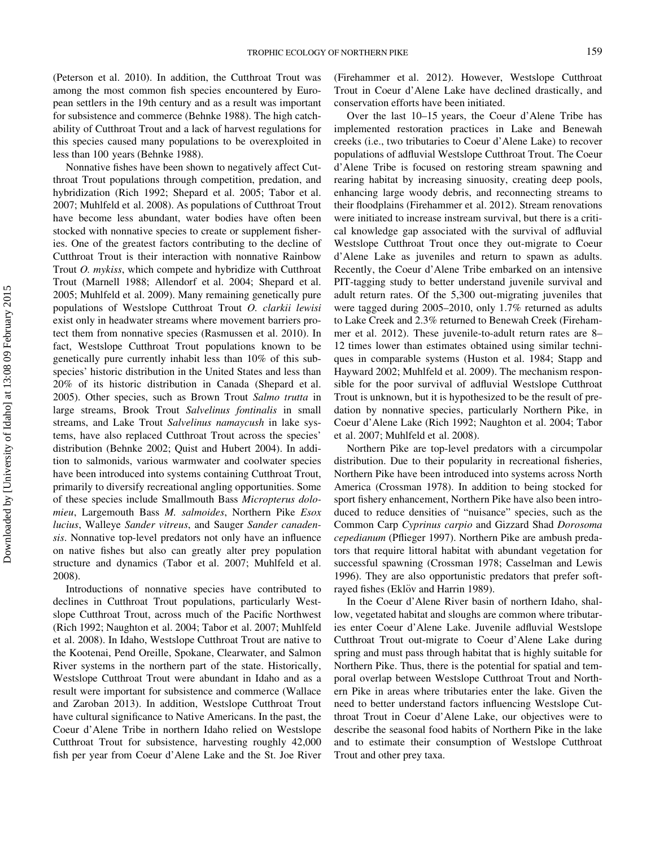(Peterson et al. 2010). In addition, the Cutthroat Trout was among the most common fish species encountered by European settlers in the 19th century and as a result was important for subsistence and commerce (Behnke 1988). The high catchability of Cutthroat Trout and a lack of harvest regulations for this species caused many populations to be overexploited in less than 100 years (Behnke 1988).

Nonnative fishes have been shown to negatively affect Cutthroat Trout populations through competition, predation, and hybridization (Rich 1992; Shepard et al. 2005; Tabor et al. 2007; Muhlfeld et al. 2008). As populations of Cutthroat Trout have become less abundant, water bodies have often been stocked with nonnative species to create or supplement fisheries. One of the greatest factors contributing to the decline of Cutthroat Trout is their interaction with nonnative Rainbow Trout O. mykiss, which compete and hybridize with Cutthroat Trout (Marnell 1988; Allendorf et al. 2004; Shepard et al. 2005; Muhlfeld et al. 2009). Many remaining genetically pure populations of Westslope Cutthroat Trout O. clarkii lewisi exist only in headwater streams where movement barriers protect them from nonnative species (Rasmussen et al. 2010). In fact, Westslope Cutthroat Trout populations known to be genetically pure currently inhabit less than 10% of this subspecies' historic distribution in the United States and less than 20% of its historic distribution in Canada (Shepard et al. 2005). Other species, such as Brown Trout Salmo trutta in large streams, Brook Trout Salvelinus fontinalis in small streams, and Lake Trout Salvelinus namaycush in lake systems, have also replaced Cutthroat Trout across the species' distribution (Behnke 2002; Quist and Hubert 2004). In addition to salmonids, various warmwater and coolwater species have been introduced into systems containing Cutthroat Trout, primarily to diversify recreational angling opportunities. Some of these species include Smallmouth Bass Micropterus dolomieu, Largemouth Bass M. salmoides, Northern Pike Esox lucius, Walleye Sander vitreus, and Sauger Sander canadensis. Nonnative top-level predators not only have an influence on native fishes but also can greatly alter prey population structure and dynamics (Tabor et al. 2007; Muhlfeld et al. 2008).

Introductions of nonnative species have contributed to declines in Cutthroat Trout populations, particularly Westslope Cutthroat Trout, across much of the Pacific Northwest (Rich 1992; Naughton et al. 2004; Tabor et al. 2007; Muhlfeld et al. 2008). In Idaho, Westslope Cutthroat Trout are native to the Kootenai, Pend Oreille, Spokane, Clearwater, and Salmon River systems in the northern part of the state. Historically, Westslope Cutthroat Trout were abundant in Idaho and as a result were important for subsistence and commerce (Wallace and Zaroban 2013). In addition, Westslope Cutthroat Trout have cultural significance to Native Americans. In the past, the Coeur d'Alene Tribe in northern Idaho relied on Westslope Cutthroat Trout for subsistence, harvesting roughly 42,000 fish per year from Coeur d'Alene Lake and the St. Joe River (Firehammer et al. 2012). However, Westslope Cutthroat Trout in Coeur d'Alene Lake have declined drastically, and conservation efforts have been initiated.

Over the last 10–15 years, the Coeur d'Alene Tribe has implemented restoration practices in Lake and Benewah creeks (i.e., two tributaries to Coeur d'Alene Lake) to recover populations of adfluvial Westslope Cutthroat Trout. The Coeur d'Alene Tribe is focused on restoring stream spawning and rearing habitat by increasing sinuosity, creating deep pools, enhancing large woody debris, and reconnecting streams to their floodplains (Firehammer et al. 2012). Stream renovations were initiated to increase instream survival, but there is a critical knowledge gap associated with the survival of adfluvial Westslope Cutthroat Trout once they out-migrate to Coeur d'Alene Lake as juveniles and return to spawn as adults. Recently, the Coeur d'Alene Tribe embarked on an intensive PIT-tagging study to better understand juvenile survival and adult return rates. Of the 5,300 out-migrating juveniles that were tagged during 2005–2010, only 1.7% returned as adults to Lake Creek and 2.3% returned to Benewah Creek (Firehammer et al. 2012). These juvenile-to-adult return rates are 8– 12 times lower than estimates obtained using similar techniques in comparable systems (Huston et al. 1984; Stapp and Hayward 2002; Muhlfeld et al. 2009). The mechanism responsible for the poor survival of adfluvial Westslope Cutthroat Trout is unknown, but it is hypothesized to be the result of predation by nonnative species, particularly Northern Pike, in Coeur d'Alene Lake (Rich 1992; Naughton et al. 2004; Tabor et al. 2007; Muhlfeld et al. 2008).

Northern Pike are top-level predators with a circumpolar distribution. Due to their popularity in recreational fisheries, Northern Pike have been introduced into systems across North America (Crossman 1978). In addition to being stocked for sport fishery enhancement, Northern Pike have also been introduced to reduce densities of "nuisance" species, such as the Common Carp Cyprinus carpio and Gizzard Shad Dorosoma cepedianum (Pflieger 1997). Northern Pike are ambush predators that require littoral habitat with abundant vegetation for successful spawning (Crossman 1978; Casselman and Lewis 1996). They are also opportunistic predators that prefer softrayed fishes (Eklöv and Harrin 1989).

In the Coeur d'Alene River basin of northern Idaho, shallow, vegetated habitat and sloughs are common where tributaries enter Coeur d'Alene Lake. Juvenile adfluvial Westslope Cutthroat Trout out-migrate to Coeur d'Alene Lake during spring and must pass through habitat that is highly suitable for Northern Pike. Thus, there is the potential for spatial and temporal overlap between Westslope Cutthroat Trout and Northern Pike in areas where tributaries enter the lake. Given the need to better understand factors influencing Westslope Cutthroat Trout in Coeur d'Alene Lake, our objectives were to describe the seasonal food habits of Northern Pike in the lake and to estimate their consumption of Westslope Cutthroat Trout and other prey taxa.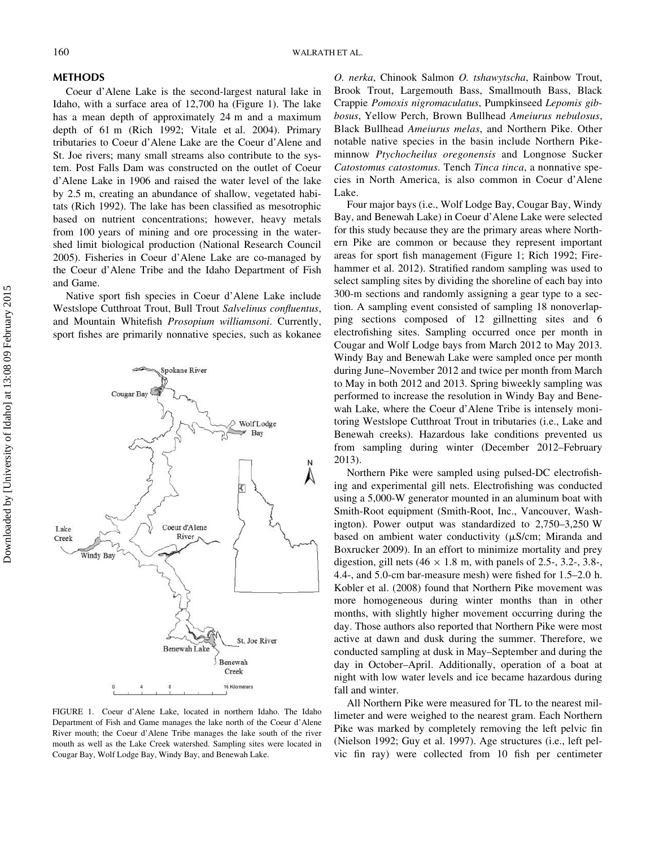#### **METHODS**

Coeur d'Alene Lake is the second-largest natural lake in Idaho, with a surface area of 12,700 ha (Figure 1). The lake has a mean depth of approximately 24 m and a maximum depth of 61 m (Rich 1992; Vitale et al. 2004). Primary tributaries to Coeur d'Alene Lake are the Coeur d'Alene and St. Joe rivers; many small streams also contribute to the system. Post Falls Dam was constructed on the outlet of Coeur d'Alene Lake in 1906 and raised the water level of the lake by 2.5 m, creating an abundance of shallow, vegetated habitats (Rich 1992). The lake has been classified as mesotrophic based on nutrient concentrations; however, heavy metals from 100 years of mining and ore processing in the watershed limit biological production (National Research Council 2005). Fisheries in Coeur d'Alene Lake are co-managed by the Coeur d'Alene Tribe and the Idaho Department of Fish and Game.

Native sport fish species in Coeur d'Alene Lake include Westslope Cutthroat Trout, Bull Trout Salvelinus confluentus, and Mountain Whitefish Prosopium williamsoni. Currently, sport fishes are primarily nonnative species, such as kokanee



FIGURE 1. Coeur d'Alene Lake, located in northern Idaho. The Idaho Department of Fish and Game manages the lake north of the Coeur d'Alene River mouth; the Coeur d'Alene Tribe manages the lake south of the river mouth as well as the Lake Creek watershed. Sampling sites were located in Cougar Bay, Wolf Lodge Bay, Windy Bay, and Benewah Lake.

O. nerka, Chinook Salmon O. tshawytscha, Rainbow Trout, Brook Trout, Largemouth Bass, Smallmouth Bass, Black Crappie Pomoxis nigromaculatus, Pumpkinseed Lepomis gibbosus, Yellow Perch, Brown Bullhead Ameiurus nebulosus, Black Bullhead Ameiurus melas, and Northern Pike. Other notable native species in the basin include Northern Pikeminnow Ptychocheilus oregonensis and Longnose Sucker Catostomus catostomus. Tench Tinca tinca, a nonnative species in North America, is also common in Coeur d'Alene Lake.

Four major bays (i.e., Wolf Lodge Bay, Cougar Bay, Windy Bay, and Benewah Lake) in Coeur d'Alene Lake were selected for this study because they are the primary areas where Northern Pike are common or because they represent important areas for sport fish management (Figure 1; Rich 1992; Firehammer et al. 2012). Stratified random sampling was used to select sampling sites by dividing the shoreline of each bay into 300-m sections and randomly assigning a gear type to a section. A sampling event consisted of sampling 18 nonoverlapping sections composed of 12 gillnetting sites and 6 electrofishing sites. Sampling occurred once per month in Cougar and Wolf Lodge bays from March 2012 to May 2013. Windy Bay and Benewah Lake were sampled once per month during June–November 2012 and twice per month from March to May in both 2012 and 2013. Spring biweekly sampling was performed to increase the resolution in Windy Bay and Benewah Lake, where the Coeur d'Alene Tribe is intensely monitoring Westslope Cutthroat Trout in tributaries (i.e., Lake and Benewah creeks). Hazardous lake conditions prevented us from sampling during winter (December 2012–February 2013).

Northern Pike were sampled using pulsed-DC electrofishing and experimental gill nets. Electrofishing was conducted using a 5,000-W generator mounted in an aluminum boat with Smith-Root equipment (Smith-Root, Inc., Vancouver, Washington). Power output was standardized to 2,750–3,250 W based on ambient water conductivity ( $\mu$ S/cm; Miranda and Boxrucker 2009). In an effort to minimize mortality and prey digestion, gill nets (46  $\times$  1.8 m, with panels of 2.5-, 3.2-, 3.8-, 4.4-, and 5.0-cm bar-measure mesh) were fished for 1.5–2.0 h. Kobler et al. (2008) found that Northern Pike movement was more homogeneous during winter months than in other months, with slightly higher movement occurring during the day. Those authors also reported that Northern Pike were most active at dawn and dusk during the summer. Therefore, we conducted sampling at dusk in May–September and during the day in October–April. Additionally, operation of a boat at night with low water levels and ice became hazardous during fall and winter.

All Northern Pike were measured for TL to the nearest millimeter and were weighed to the nearest gram. Each Northern Pike was marked by completely removing the left pelvic fin (Nielson 1992; Guy et al. 1997). Age structures (i.e., left pelvic fin ray) were collected from 10 fish per centimeter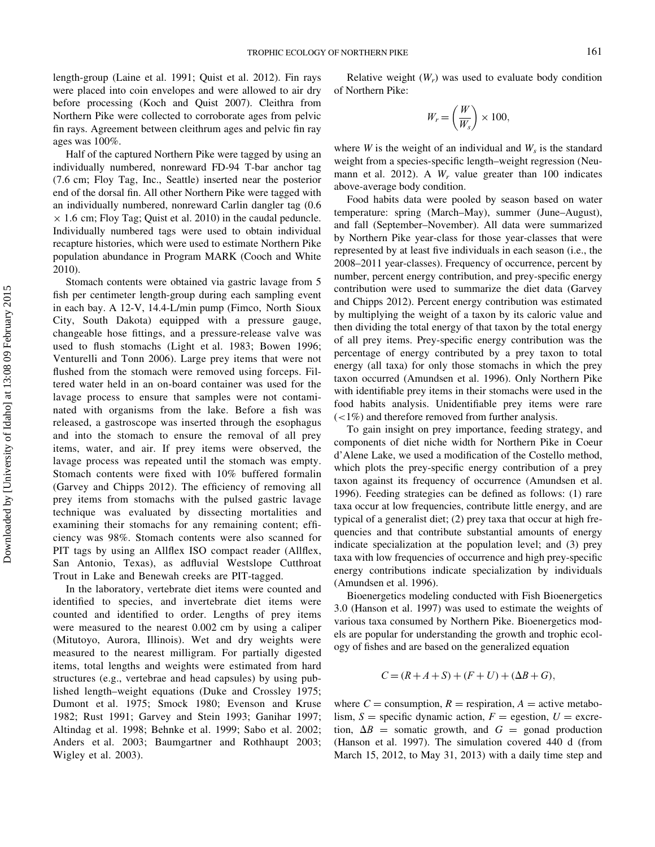length-group (Laine et al. 1991; Quist et al. 2012). Fin rays were placed into coin envelopes and were allowed to air dry before processing (Koch and Quist 2007). Cleithra from Northern Pike were collected to corroborate ages from pelvic fin rays. Agreement between cleithrum ages and pelvic fin ray ages was 100%.

Half of the captured Northern Pike were tagged by using an individually numbered, nonreward FD-94 T-bar anchor tag (7.6 cm; Floy Tag, Inc., Seattle) inserted near the posterior end of the dorsal fin. All other Northern Pike were tagged with an individually numbered, nonreward Carlin dangler tag (0.6  $\times$  1.6 cm; Floy Tag; Quist et al. 2010) in the caudal peduncle. Individually numbered tags were used to obtain individual recapture histories, which were used to estimate Northern Pike population abundance in Program MARK (Cooch and White 2010).

Stomach contents were obtained via gastric lavage from 5 fish per centimeter length-group during each sampling event in each bay. A 12-V, 14.4-L/min pump (Fimco, North Sioux City, South Dakota) equipped with a pressure gauge, changeable hose fittings, and a pressure-release valve was used to flush stomachs (Light et al. 1983; Bowen 1996; Venturelli and Tonn 2006). Large prey items that were not flushed from the stomach were removed using forceps. Filtered water held in an on-board container was used for the lavage process to ensure that samples were not contaminated with organisms from the lake. Before a fish was released, a gastroscope was inserted through the esophagus and into the stomach to ensure the removal of all prey items, water, and air. If prey items were observed, the lavage process was repeated until the stomach was empty. Stomach contents were fixed with 10% buffered formalin (Garvey and Chipps 2012). The efficiency of removing all prey items from stomachs with the pulsed gastric lavage technique was evaluated by dissecting mortalities and examining their stomachs for any remaining content; efficiency was 98%. Stomach contents were also scanned for PIT tags by using an Allflex ISO compact reader (Allflex, San Antonio, Texas), as adfluvial Westslope Cutthroat Trout in Lake and Benewah creeks are PIT-tagged.

In the laboratory, vertebrate diet items were counted and identified to species, and invertebrate diet items were counted and identified to order. Lengths of prey items were measured to the nearest 0.002 cm by using a caliper (Mitutoyo, Aurora, Illinois). Wet and dry weights were measured to the nearest milligram. For partially digested items, total lengths and weights were estimated from hard structures (e.g., vertebrae and head capsules) by using published length–weight equations (Duke and Crossley 1975; Dumont et al. 1975; Smock 1980; Evenson and Kruse 1982; Rust 1991; Garvey and Stein 1993; Ganihar 1997; Altindag et al. 1998; Behnke et al. 1999; Sabo et al. 2002; Anders et al. 2003; Baumgartner and Rothhaupt 2003; Wigley et al. 2003).

Relative weight  $(W_r)$  was used to evaluate body condition of Northern Pike:

$$
W_r = \left(\frac{W}{W_s}\right) \times 100,
$$

where W is the weight of an individual and  $W_s$  is the standard weight from a species-specific length–weight regression (Neumann et al. 2012). A  $W_r$  value greater than 100 indicates above-average body condition.

Food habits data were pooled by season based on water temperature: spring (March–May), summer (June–August), and fall (September–November). All data were summarized by Northern Pike year-class for those year-classes that were represented by at least five individuals in each season (i.e., the 2008–2011 year-classes). Frequency of occurrence, percent by number, percent energy contribution, and prey-specific energy contribution were used to summarize the diet data (Garvey and Chipps 2012). Percent energy contribution was estimated by multiplying the weight of a taxon by its caloric value and then dividing the total energy of that taxon by the total energy of all prey items. Prey-specific energy contribution was the percentage of energy contributed by a prey taxon to total energy (all taxa) for only those stomachs in which the prey taxon occurred (Amundsen et al. 1996). Only Northern Pike with identifiable prey items in their stomachs were used in the food habits analysis. Unidentifiable prey items were rare  $\left($  <1%) and therefore removed from further analysis.

To gain insight on prey importance, feeding strategy, and components of diet niche width for Northern Pike in Coeur d'Alene Lake, we used a modification of the Costello method, which plots the prey-specific energy contribution of a prey taxon against its frequency of occurrence (Amundsen et al. 1996). Feeding strategies can be defined as follows: (1) rare taxa occur at low frequencies, contribute little energy, and are typical of a generalist diet; (2) prey taxa that occur at high frequencies and that contribute substantial amounts of energy indicate specialization at the population level; and (3) prey taxa with low frequencies of occurrence and high prey-specific energy contributions indicate specialization by individuals (Amundsen et al. 1996).

Bioenergetics modeling conducted with Fish Bioenergetics 3.0 (Hanson et al. 1997) was used to estimate the weights of various taxa consumed by Northern Pike. Bioenergetics models are popular for understanding the growth and trophic ecology of fishes and are based on the generalized equation

$$
C = (R + A + S) + (F + U) + (\Delta B + G),
$$

where  $C =$  consumption,  $R =$  respiration,  $A =$  active metabolism,  $S =$  specific dynamic action,  $F =$  egestion,  $U =$  excretion,  $\Delta B$  = somatic growth, and  $G$  = gonad production (Hanson et al. 1997). The simulation covered 440 d (from March 15, 2012, to May 31, 2013) with a daily time step and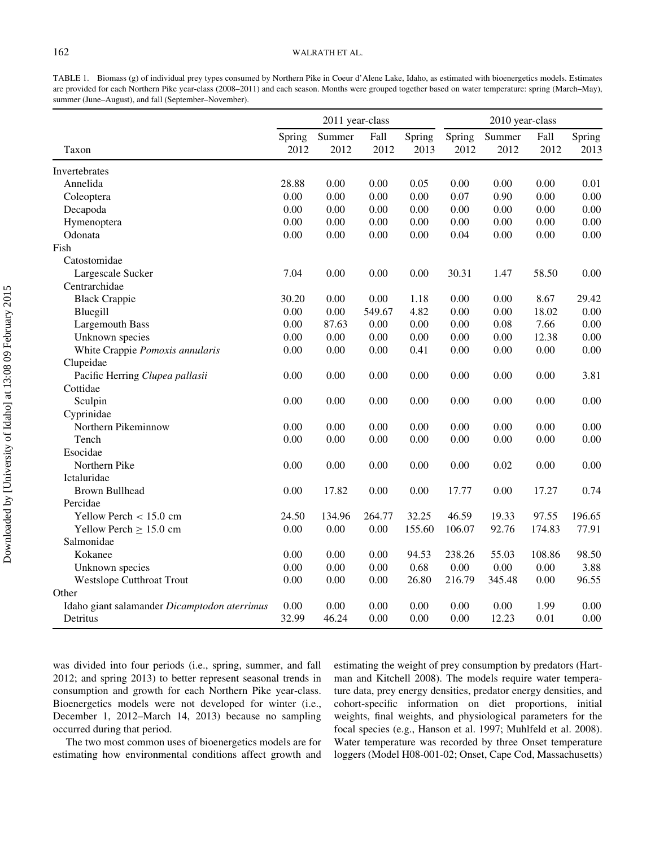TABLE 1. Biomass (g) of individual prey types consumed by Northern Pike in Coeur d'Alene Lake, Idaho, as estimated with bioenergetics models. Estimates are provided for each Northern Pike year-class (2008–2011) and each season. Months were grouped together based on water temperature: spring (March–May), summer (June–August), and fall (September–November).

|                                              |                | 2011 year-class |              |                | 2010 year-class |                |              |                |  |  |
|----------------------------------------------|----------------|-----------------|--------------|----------------|-----------------|----------------|--------------|----------------|--|--|
| Taxon                                        | Spring<br>2012 | Summer<br>2012  | Fall<br>2012 | Spring<br>2013 | Spring<br>2012  | Summer<br>2012 | Fall<br>2012 | Spring<br>2013 |  |  |
| Invertebrates                                |                |                 |              |                |                 |                |              |                |  |  |
| Annelida                                     | 28.88          | 0.00            | 0.00         | 0.05           | 0.00            | 0.00           | 0.00         | 0.01           |  |  |
| Coleoptera                                   | 0.00           | 0.00            | 0.00         | 0.00           | 0.07            | 0.90           | 0.00         | 0.00           |  |  |
| Decapoda                                     | 0.00           | 0.00            | 0.00         | 0.00           | 0.00            | 0.00           | 0.00         | 0.00           |  |  |
| Hymenoptera                                  | 0.00           | 0.00            | 0.00         | 0.00           | 0.00            | 0.00           | 0.00         | 0.00           |  |  |
| Odonata                                      | 0.00           | 0.00            | 0.00         | 0.00           | 0.04            | 0.00           | 0.00         | 0.00           |  |  |
| Fish                                         |                |                 |              |                |                 |                |              |                |  |  |
| Catostomidae                                 |                |                 |              |                |                 |                |              |                |  |  |
| Largescale Sucker                            | 7.04           | 0.00            | 0.00         | 0.00           | 30.31           | 1.47           | 58.50        | 0.00           |  |  |
| Centrarchidae                                |                |                 |              |                |                 |                |              |                |  |  |
| <b>Black Crappie</b>                         | 30.20          | 0.00            | 0.00         | 1.18           | 0.00            | 0.00           | 8.67         | 29.42          |  |  |
| Bluegill                                     | 0.00           | 0.00            | 549.67       | 4.82           | 0.00            | 0.00           | 18.02        | 0.00           |  |  |
| <b>Largemouth Bass</b>                       | 0.00           | 87.63           | 0.00         | 0.00           | 0.00            | 0.08           | 7.66         | 0.00           |  |  |
| Unknown species                              | 0.00           | 0.00            | 0.00         | 0.00           | 0.00            | 0.00           | 12.38        | 0.00           |  |  |
| White Crappie Pomoxis annularis              | 0.00           | 0.00            | 0.00         | 0.41           | 0.00            | 0.00           | 0.00         | 0.00           |  |  |
| Clupeidae                                    |                |                 |              |                |                 |                |              |                |  |  |
| Pacific Herring Clupea pallasii              | 0.00           | 0.00            | 0.00         | 0.00           | 0.00            | 0.00           | 0.00         | 3.81           |  |  |
| Cottidae                                     |                |                 |              |                |                 |                |              |                |  |  |
| Sculpin                                      | 0.00           | 0.00            | 0.00         | 0.00           | 0.00            | 0.00           | 0.00         | 0.00           |  |  |
| Cyprinidae                                   |                |                 |              |                |                 |                |              |                |  |  |
| Northern Pikeminnow                          | 0.00           | 0.00            | 0.00         | 0.00           | 0.00            | 0.00           | 0.00         | 0.00           |  |  |
| Tench                                        | 0.00           | 0.00            | 0.00         | 0.00           | 0.00            | 0.00           | 0.00         | 0.00           |  |  |
| Esocidae                                     |                |                 |              |                |                 |                |              |                |  |  |
| Northern Pike                                | 0.00           | 0.00            | 0.00         | 0.00           | 0.00            | 0.02           | 0.00         | 0.00           |  |  |
| Ictaluridae                                  |                |                 |              |                |                 |                |              |                |  |  |
| <b>Brown Bullhead</b>                        | 0.00           | 17.82           | 0.00         | 0.00           | 17.77           | 0.00           | 17.27        | 0.74           |  |  |
| Percidae                                     |                |                 |              |                |                 |                |              |                |  |  |
| Yellow Perch $< 15.0$ cm                     | 24.50          | 134.96          | 264.77       | 32.25          | 46.59           | 19.33          | 97.55        | 196.65         |  |  |
| Yellow Perch $\geq 15.0$ cm                  | 0.00           | $0.00\,$        | 0.00         | 155.60         | 106.07          | 92.76          | 174.83       | 77.91          |  |  |
| Salmonidae                                   |                |                 |              |                |                 |                |              |                |  |  |
| Kokanee                                      | 0.00           | 0.00            | 0.00         | 94.53          | 238.26          | 55.03          | 108.86       | 98.50          |  |  |
| Unknown species                              | 0.00           | 0.00            | 0.00         | 0.68           | 0.00            | 0.00           | 0.00         | 3.88           |  |  |
| <b>Westslope Cutthroat Trout</b>             | 0.00           | 0.00            | 0.00         | 26.80          | 216.79          | 345.48         | 0.00         | 96.55          |  |  |
| Other                                        |                |                 |              |                |                 |                |              |                |  |  |
| Idaho giant salamander Dicamptodon aterrimus | 0.00           | 0.00            | 0.00         | 0.00           | 0.00            | 0.00           | 1.99         | 0.00           |  |  |
| Detritus                                     | 32.99          | 46.24           | 0.00         | 0.00           | 0.00            | 12.23          | 0.01         | 0.00           |  |  |

was divided into four periods (i.e., spring, summer, and fall 2012; and spring 2013) to better represent seasonal trends in consumption and growth for each Northern Pike year-class. Bioenergetics models were not developed for winter (i.e., December 1, 2012–March 14, 2013) because no sampling occurred during that period.

The two most common uses of bioenergetics models are for estimating how environmental conditions affect growth and

estimating the weight of prey consumption by predators (Hartman and Kitchell 2008). The models require water temperature data, prey energy densities, predator energy densities, and cohort-specific information on diet proportions, initial weights, final weights, and physiological parameters for the focal species (e.g., Hanson et al. 1997; Muhlfeld et al. 2008). Water temperature was recorded by three Onset temperature loggers (Model H08-001-02; Onset, Cape Cod, Massachusetts)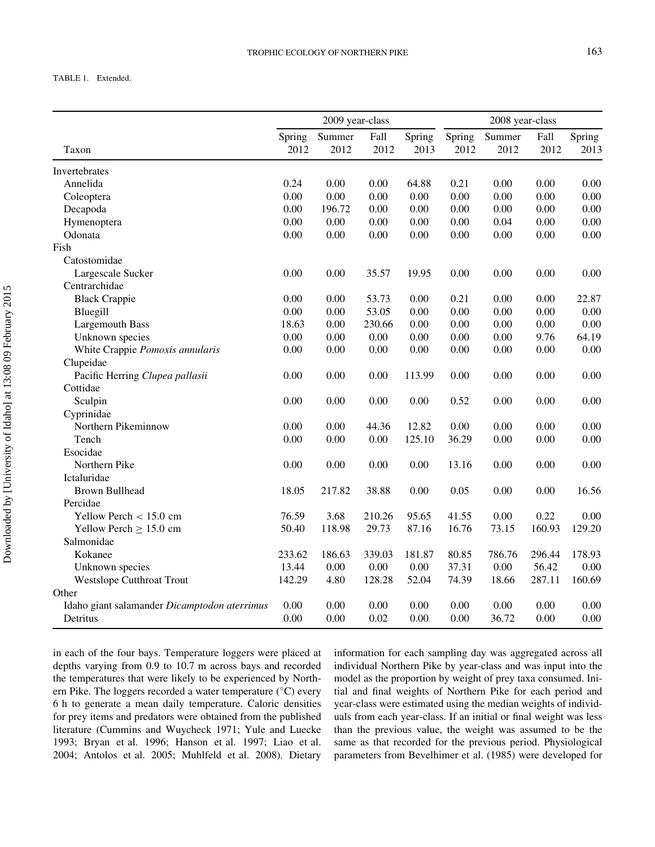|                                              |                | 2009 year-class |              |                | 2008 year-class |                |              |                |  |  |
|----------------------------------------------|----------------|-----------------|--------------|----------------|-----------------|----------------|--------------|----------------|--|--|
| Taxon                                        | Spring<br>2012 | Summer<br>2012  | Fall<br>2012 | Spring<br>2013 | Spring<br>2012  | Summer<br>2012 | Fall<br>2012 | Spring<br>2013 |  |  |
| Invertebrates                                |                |                 |              |                |                 |                |              |                |  |  |
| Annelida                                     | 0.24           | 0.00            | 0.00         | 64.88          | 0.21            | 0.00           | 0.00         | 0.00           |  |  |
| Coleoptera                                   | 0.00           | 0.00            | 0.00         | 0.00           | 0.00            | 0.00           | 0.00         | 0.00           |  |  |
| Decapoda                                     | 0.00           | 196.72          | 0.00         | 0.00           | 0.00            | 0.00           | 0.00         | 0.00           |  |  |
| Hymenoptera                                  | 0.00           | $0.00\,$        | 0.00         | 0.00           | 0.00            | 0.04           | 0.00         | 0.00           |  |  |
| Odonata                                      | 0.00           | $0.00\,$        | 0.00         | 0.00           | 0.00            | $0.00\,$       | 0.00         | 0.00           |  |  |
| Fish                                         |                |                 |              |                |                 |                |              |                |  |  |
| Catostomidae                                 |                |                 |              |                |                 |                |              |                |  |  |
| Largescale Sucker                            | 0.00           | $0.00\,$        | 35.57        | 19.95          | 0.00            | 0.00           | 0.00         | 0.00           |  |  |
| Centrarchidae                                |                |                 |              |                |                 |                |              |                |  |  |
| <b>Black Crappie</b>                         | 0.00           | 0.00            | 53.73        | 0.00           | 0.21            | 0.00           | 0.00         | 22.87          |  |  |
| Bluegill                                     | 0.00           | $0.00\,$        | 53.05        | 0.00           | 0.00            | $0.00\,$       | 0.00         | 0.00           |  |  |
| <b>Largemouth Bass</b>                       | 18.63          | $0.00\,$        | 230.66       | 0.00           | 0.00            | 0.00           | 0.00         | 0.00           |  |  |
| Unknown species                              | 0.00           | 0.00            | 0.00         | 0.00           | 0.00            | 0.00           | 9.76         | 64.19          |  |  |
| White Crappie Pomoxis annularis              | 0.00           | 0.00            | 0.00         | 0.00           | 0.00            | 0.00           | 0.00         | 0.00           |  |  |
| Clupeidae                                    |                |                 |              |                |                 |                |              |                |  |  |
| Pacific Herring Clupea pallasii              | 0.00           | 0.00            | 0.00         | 113.99         | 0.00            | 0.00           | 0.00         | 0.00           |  |  |
| Cottidae                                     |                |                 |              |                |                 |                |              |                |  |  |
| Sculpin                                      | 0.00           | 0.00            | 0.00         | 0.00           | 0.52            | 0.00           | 0.00         | 0.00           |  |  |
| Cyprinidae                                   |                |                 |              |                |                 |                |              |                |  |  |
| Northern Pikeminnow                          | 0.00           | 0.00            | 44.36        | 12.82          | 0.00            | 0.00           | 0.00         | 0.00           |  |  |
| Tench                                        | 0.00           | 0.00            | 0.00         | 125.10         | 36.29           | 0.00           | 0.00         | 0.00           |  |  |
| Esocidae                                     |                |                 |              |                |                 |                |              |                |  |  |
| Northern Pike                                | 0.00           | 0.00            | 0.00         | 0.00           | 13.16           | 0.00           | 0.00         | 0.00           |  |  |
| Ictaluridae                                  |                |                 |              |                |                 |                |              |                |  |  |
| <b>Brown Bullhead</b>                        | 18.05          | 217.82          | 38.88        | 0.00           | 0.05            | 0.00           | 0.00         | 16.56          |  |  |
| Percidae                                     |                |                 |              |                |                 |                |              |                |  |  |
| Yellow Perch $< 15.0$ cm                     | 76.59          | 3.68            | 210.26       | 95.65          | 41.55           | 0.00           | 0.22         | 0.00           |  |  |
| Yellow Perch $\geq 15.0$ cm                  | 50.40          | 118.98          | 29.73        | 87.16          | 16.76           | 73.15          | 160.93       | 129.20         |  |  |
| Salmonidae                                   |                |                 |              |                |                 |                |              |                |  |  |
| Kokanee                                      | 233.62         | 186.63          | 339.03       | 181.87         | 80.85           | 786.76         | 296.44       | 178.93         |  |  |
| Unknown species                              | 13.44          | 0.00            | 0.00         | 0.00           | 37.31           | 0.00           | 56.42        | 0.00           |  |  |
| <b>Westslope Cutthroat Trout</b>             | 142.29         | 4.80            | 128.28       | 52.04          | 74.39           | 18.66          | 287.11       | 160.69         |  |  |
| Other                                        |                |                 |              |                |                 |                |              |                |  |  |
| Idaho giant salamander Dicamptodon aterrimus | 0.00           | 0.00            | 0.00         | 0.00           | 0.00            | 0.00           | 0.00         | 0.00           |  |  |
| Detritus                                     | 0.00           | 0.00            | 0.02         | 0.00           | 0.00            | 36.72          | 0.00         | 0.00           |  |  |

in each of the four bays. Temperature loggers were placed at depths varying from 0.9 to 10.7 m across bays and recorded the temperatures that were likely to be experienced by Northern Pike. The loggers recorded a water temperature  $({}^{\circ}C)$  every 6 h to generate a mean daily temperature. Caloric densities for prey items and predators were obtained from the published literature (Cummins and Wuycheck 1971; Yule and Luecke 1993; Bryan et al. 1996; Hanson et al. 1997; Liao et al. 2004; Antolos et al. 2005; Muhlfeld et al. 2008). Dietary

information for each sampling day was aggregated across all individual Northern Pike by year-class and was input into the model as the proportion by weight of prey taxa consumed. Initial and final weights of Northern Pike for each period and year-class were estimated using the median weights of individuals from each year-class. If an initial or final weight was less than the previous value, the weight was assumed to be the same as that recorded for the previous period. Physiological parameters from Bevelhimer et al. (1985) were developed for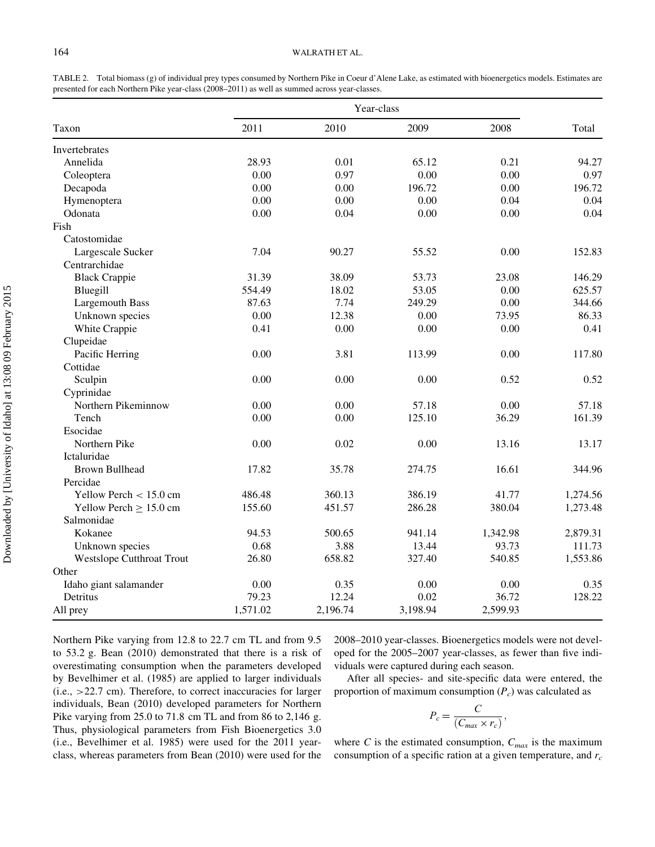#### 164 WALRATH ET AL.

TABLE 2. Total biomass (g) of individual prey types consumed by Northern Pike in Coeur d'Alene Lake, as estimated with bioenergetics models. Estimates are presented for each Northern Pike year-class (2008–2011) as well as summed across year-classes.

| 2009<br>2008<br>2011<br>2010<br>Taxon<br>Invertebrates                  | Total<br>94.27 |
|-------------------------------------------------------------------------|----------------|
|                                                                         |                |
|                                                                         |                |
| Annelida<br>28.93<br>0.01<br>0.21<br>65.12                              |                |
| 0.00<br>0.97<br>Coleoptera<br>0.00<br>0.00                              | 0.97           |
| 0.00<br>0.00<br>196.72<br>0.00<br>Decapoda                              | 196.72         |
| 0.00<br>0.00<br>0.00<br>0.04<br>Hymenoptera                             | 0.04           |
| Odonata<br>0.00<br>0.04<br>0.00<br>0.00                                 | 0.04           |
| Fish                                                                    |                |
| Catostomidae                                                            |                |
| 7.04<br>Largescale Sucker<br>90.27<br>55.52<br>0.00                     | 152.83         |
| Centrarchidae                                                           |                |
| <b>Black Crappie</b><br>31.39<br>38.09<br>53.73<br>23.08                | 146.29         |
| 554.49<br>18.02<br>53.05<br>0.00<br>Bluegill                            | 625.57         |
| 7.74<br>249.29<br>0.00<br><b>Largemouth Bass</b><br>87.63               | 344.66         |
| 12.38<br>0.00<br>73.95<br>Unknown species<br>0.00                       | 86.33          |
| 0.41<br>0.00<br>0.00<br>0.00<br>White Crappie                           | 0.41           |
| Clupeidae                                                               |                |
| 3.81<br>Pacific Herring<br>0.00<br>113.99<br>0.00                       | 117.80         |
| Cottidae                                                                |                |
| 0.00<br>0.00<br>0.00<br>0.52<br>Sculpin                                 | 0.52           |
| Cyprinidae                                                              |                |
| Northern Pikeminnow<br>0.00<br>0.00<br>57.18<br>0.00                    | 57.18          |
| Tench<br>0.00<br>0.00<br>125.10<br>36.29                                | 161.39         |
| Esocidae                                                                |                |
| Northern Pike<br>0.00<br>0.02<br>0.00<br>13.16                          | 13.17          |
| Ictaluridae                                                             |                |
| <b>Brown Bullhead</b><br>17.82<br>35.78<br>16.61<br>274.75              | 344.96         |
| Percidae                                                                |                |
| Yellow Perch $< 15.0$ cm<br>486.48<br>360.13<br>386.19<br>41.77         | 1,274.56       |
| Yellow Perch $\geq 15.0$ cm<br>155.60<br>451.57<br>286.28<br>380.04     | 1,273.48       |
| Salmonidae                                                              |                |
| Kokanee<br>500.65<br>941.14<br>94.53<br>1,342.98                        | 2,879.31       |
| 0.68<br>3.88<br>13.44<br>93.73<br>Unknown species                       | 111.73         |
| 26.80<br><b>Westslope Cutthroat Trout</b><br>658.82<br>327.40<br>540.85 | 1,553.86       |
| Other                                                                   |                |
| Idaho giant salamander<br>0.00<br>0.00<br>0.35<br>0.00                  | 0.35           |
| 79.23<br>12.24<br>Detritus<br>0.02<br>36.72                             | 128.22         |
| 1,571.02<br>3,198.94<br>2,599.93<br>2,196.74<br>All prey                |                |

Northern Pike varying from 12.8 to 22.7 cm TL and from 9.5 to 53.2 g. Bean (2010) demonstrated that there is a risk of overestimating consumption when the parameters developed by Bevelhimer et al. (1985) are applied to larger individuals  $(i.e., >22.7 cm)$ . Therefore, to correct inaccuracies for larger individuals, Bean (2010) developed parameters for Northern Pike varying from 25.0 to 71.8 cm TL and from 86 to 2,146 g. Thus, physiological parameters from Fish Bioenergetics 3.0 (i.e., Bevelhimer et al. 1985) were used for the 2011 yearclass, whereas parameters from Bean (2010) were used for the

2008–2010 year-classes. Bioenergetics models were not developed for the 2005–2007 year-classes, as fewer than five individuals were captured during each season.

After all species- and site-specific data were entered, the proportion of maximum consumption  $(P_c)$  was calculated as

$$
P_c = \frac{C}{(C_{max} \times r_c)},
$$

where C is the estimated consumption,  $C_{max}$  is the maximum consumption of a specific ration at a given temperature, and  $r_c$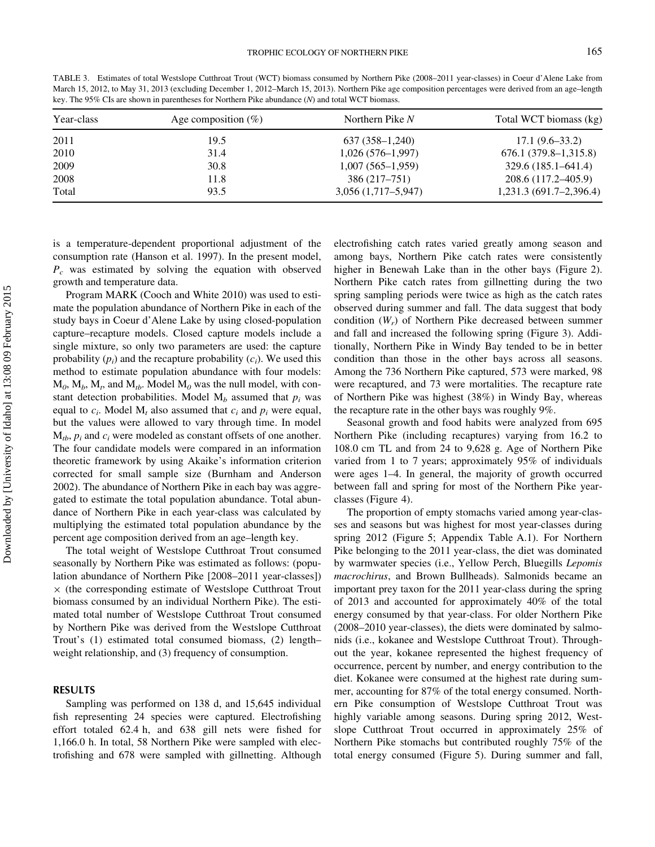| Year-class | Age composition $(\%)$ | Northern Pike $N$    | Total WCT biomass (kg)   |
|------------|------------------------|----------------------|--------------------------|
| 2011       | 19.5                   | $637(358-1,240)$     | $17.1(9.6-33.2)$         |
| 2010       | 31.4                   | $1,026(576-1,997)$   | $676.1(379.8-1,315.8)$   |
| 2009       | 30.8                   | $1,007(565-1,959)$   | 329.6 (185.1–641.4)      |
| 2008       | 11.8                   | 386 (217–751)        | 208.6 (117.2–405.9)      |
| Total      | 93.5                   | $3,056(1,717-5,947)$ | $1,231.3(691.7-2,396.4)$ |

TABLE 3. Estimates of total Westslope Cutthroat Trout (WCT) biomass consumed by Northern Pike (2008–2011 year-classes) in Coeur d'Alene Lake from March 15, 2012, to May 31, 2013 (excluding December 1, 2012–March 15, 2013). Northern Pike age composition percentages were derived from an age–length key. The 95% CIs are shown in parentheses for Northern Pike abundance (N) and total WCT biomass.

is a temperature-dependent proportional adjustment of the consumption rate (Hanson et al. 1997). In the present model,  $P_c$  was estimated by solving the equation with observed growth and temperature data.

Program MARK (Cooch and White 2010) was used to estimate the population abundance of Northern Pike in each of the study bays in Coeur d'Alene Lake by using closed-population capture–recapture models. Closed capture models include a single mixture, so only two parameters are used: the capture probability  $(p_i)$  and the recapture probability  $(c_i)$ . We used this method to estimate population abundance with four models:  $M_0, M_b, M_t$ , and  $M_{tb}$ . Model  $M_0$  was the null model, with constant detection probabilities. Model  $M_b$  assumed that  $p_i$  was equal to  $c_i$ . Model  $M_t$  also assumed that  $c_i$  and  $p_i$  were equal, but the values were allowed to vary through time. In model  $M_{tb}$ ,  $p_i$  and  $c_i$  were modeled as constant offsets of one another. The four candidate models were compared in an information theoretic framework by using Akaike's information criterion corrected for small sample size (Burnham and Anderson 2002). The abundance of Northern Pike in each bay was aggregated to estimate the total population abundance. Total abundance of Northern Pike in each year-class was calculated by multiplying the estimated total population abundance by the percent age composition derived from an age–length key.

The total weight of Westslope Cutthroat Trout consumed seasonally by Northern Pike was estimated as follows: (population abundance of Northern Pike [2008–2011 year-classes])  $\times$  (the corresponding estimate of Westslope Cutthroat Trout biomass consumed by an individual Northern Pike). The estimated total number of Westslope Cutthroat Trout consumed by Northern Pike was derived from the Westslope Cutthroat Trout's (1) estimated total consumed biomass, (2) length– weight relationship, and (3) frequency of consumption.

#### RESULTS

Sampling was performed on 138 d, and 15,645 individual fish representing 24 species were captured. Electrofishing effort totaled 62.4 h, and 638 gill nets were fished for 1,166.0 h. In total, 58 Northern Pike were sampled with electrofishing and 678 were sampled with gillnetting. Although

electrofishing catch rates varied greatly among season and among bays, Northern Pike catch rates were consistently higher in Benewah Lake than in the other bays (Figure 2). Northern Pike catch rates from gillnetting during the two spring sampling periods were twice as high as the catch rates observed during summer and fall. The data suggest that body condition  $(W_r)$  of Northern Pike decreased between summer and fall and increased the following spring (Figure 3). Additionally, Northern Pike in Windy Bay tended to be in better condition than those in the other bays across all seasons. Among the 736 Northern Pike captured, 573 were marked, 98 were recaptured, and 73 were mortalities. The recapture rate of Northern Pike was highest (38%) in Windy Bay, whereas the recapture rate in the other bays was roughly 9%.

Seasonal growth and food habits were analyzed from 695 Northern Pike (including recaptures) varying from 16.2 to 108.0 cm TL and from 24 to 9,628 g. Age of Northern Pike varied from 1 to 7 years; approximately 95% of individuals were ages 1–4. In general, the majority of growth occurred between fall and spring for most of the Northern Pike yearclasses (Figure 4).

The proportion of empty stomachs varied among year-classes and seasons but was highest for most year-classes during spring 2012 (Figure 5; Appendix Table A.1). For Northern Pike belonging to the 2011 year-class, the diet was dominated by warmwater species (i.e., Yellow Perch, Bluegills Lepomis macrochirus, and Brown Bullheads). Salmonids became an important prey taxon for the 2011 year-class during the spring of 2013 and accounted for approximately 40% of the total energy consumed by that year-class. For older Northern Pike (2008–2010 year-classes), the diets were dominated by salmonids (i.e., kokanee and Westslope Cutthroat Trout). Throughout the year, kokanee represented the highest frequency of occurrence, percent by number, and energy contribution to the diet. Kokanee were consumed at the highest rate during summer, accounting for 87% of the total energy consumed. Northern Pike consumption of Westslope Cutthroat Trout was highly variable among seasons. During spring 2012, Westslope Cutthroat Trout occurred in approximately 25% of Northern Pike stomachs but contributed roughly 75% of the total energy consumed (Figure 5). During summer and fall,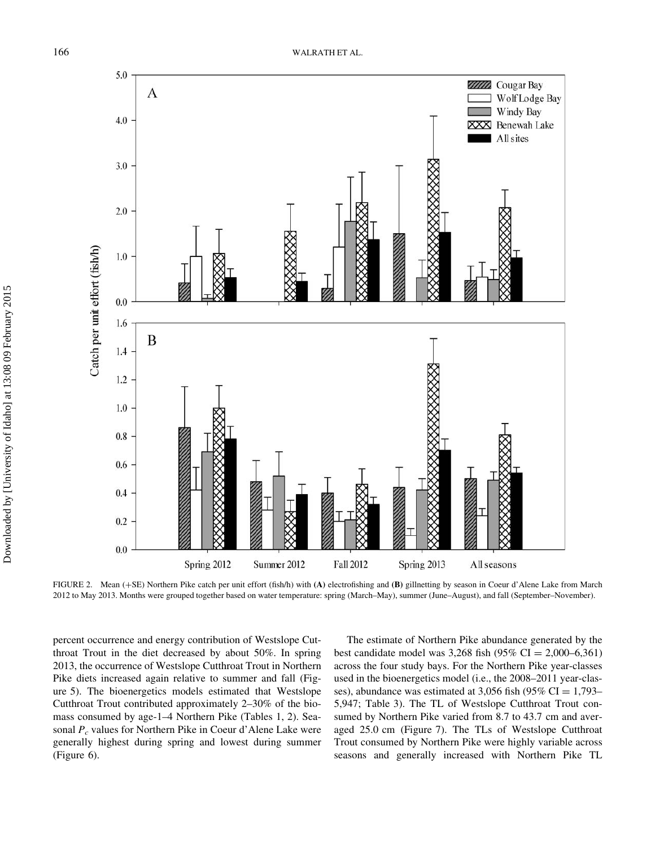

FIGURE 2. Mean (+SE) Northern Pike catch per unit effort (fish/h) with (A) electrofishing and (B) gillnetting by season in Coeur d'Alene Lake from March 2012 to May 2013. Months were grouped together based on water temperature: spring (March–May), summer (June–August), and fall (September–November).

percent occurrence and energy contribution of Westslope Cutthroat Trout in the diet decreased by about 50%. In spring 2013, the occurrence of Westslope Cutthroat Trout in Northern Pike diets increased again relative to summer and fall (Figure 5). The bioenergetics models estimated that Westslope Cutthroat Trout contributed approximately 2–30% of the biomass consumed by age-1–4 Northern Pike (Tables 1, 2). Seasonal  $P_c$  values for Northern Pike in Coeur d'Alene Lake were generally highest during spring and lowest during summer (Figure 6).

The estimate of Northern Pike abundance generated by the best candidate model was  $3,268$  fish (95% CI = 2,000–6,361) across the four study bays. For the Northern Pike year-classes used in the bioenergetics model (i.e., the 2008–2011 year-classes), abundance was estimated at  $3,056$  fish (95% CI = 1,793– 5,947; Table 3). The TL of Westslope Cutthroat Trout consumed by Northern Pike varied from 8.7 to 43.7 cm and averaged 25.0 cm (Figure 7). The TLs of Westslope Cutthroat Trout consumed by Northern Pike were highly variable across seasons and generally increased with Northern Pike TL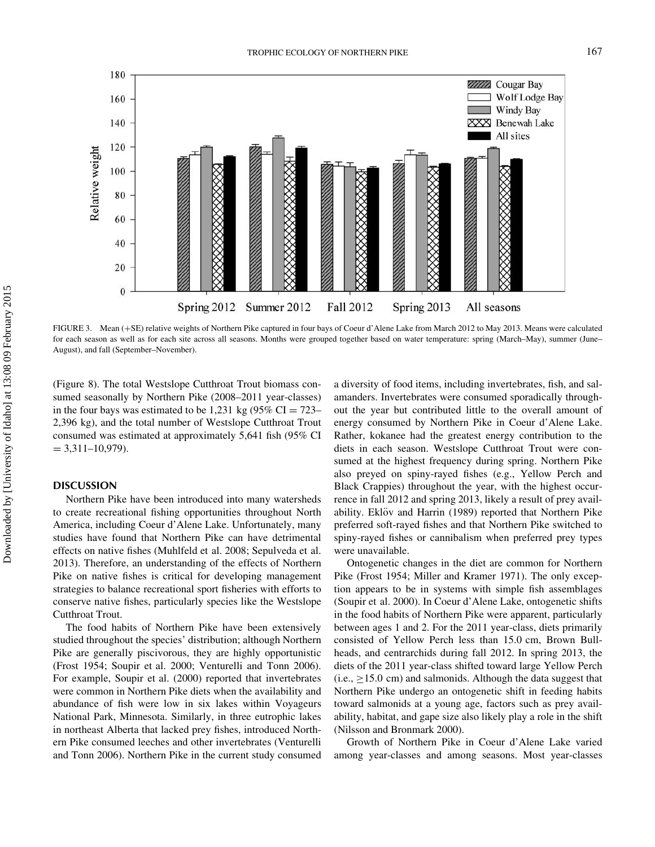

FIGURE 3. Mean (+SE) relative weights of Northern Pike captured in four bays of Coeur d'Alene Lake from March 2012 to May 2013. Means were calculated for each season as well as for each site across all seasons. Months were grouped together based on water temperature: spring (March–May), summer (June– August), and fall (September–November).

(Figure 8). The total Westslope Cutthroat Trout biomass consumed seasonally by Northern Pike (2008–2011 year-classes) in the four bays was estimated to be 1,231 kg (95% CI = 723– 2,396 kg), and the total number of Westslope Cutthroat Trout consumed was estimated at approximately 5,641 fish (95% CI  $= 3,311-10,979$ .

#### **DISCUSSION**

Northern Pike have been introduced into many watersheds to create recreational fishing opportunities throughout North America, including Coeur d'Alene Lake. Unfortunately, many studies have found that Northern Pike can have detrimental effects on native fishes (Muhlfeld et al. 2008; Sepulveda et al. 2013). Therefore, an understanding of the effects of Northern Pike on native fishes is critical for developing management strategies to balance recreational sport fisheries with efforts to conserve native fishes, particularly species like the Westslope Cutthroat Trout.

The food habits of Northern Pike have been extensively studied throughout the species' distribution; although Northern Pike are generally piscivorous, they are highly opportunistic (Frost 1954; Soupir et al. 2000; Venturelli and Tonn 2006). For example, Soupir et al. (2000) reported that invertebrates were common in Northern Pike diets when the availability and abundance of fish were low in six lakes within Voyageurs National Park, Minnesota. Similarly, in three eutrophic lakes in northeast Alberta that lacked prey fishes, introduced Northern Pike consumed leeches and other invertebrates (Venturelli and Tonn 2006). Northern Pike in the current study consumed a diversity of food items, including invertebrates, fish, and salamanders. Invertebrates were consumed sporadically throughout the year but contributed little to the overall amount of energy consumed by Northern Pike in Coeur d'Alene Lake. Rather, kokanee had the greatest energy contribution to the diets in each season. Westslope Cutthroat Trout were consumed at the highest frequency during spring. Northern Pike also preyed on spiny-rayed fishes (e.g., Yellow Perch and Black Crappies) throughout the year, with the highest occurrence in fall 2012 and spring 2013, likely a result of prey availability. Eklöv and Harrin (1989) reported that Northern Pike preferred soft-rayed fishes and that Northern Pike switched to spiny-rayed fishes or cannibalism when preferred prey types were unavailable.

Ontogenetic changes in the diet are common for Northern Pike (Frost 1954; Miller and Kramer 1971). The only exception appears to be in systems with simple fish assemblages (Soupir et al. 2000). In Coeur d'Alene Lake, ontogenetic shifts in the food habits of Northern Pike were apparent, particularly between ages 1 and 2. For the 2011 year-class, diets primarily consisted of Yellow Perch less than 15.0 cm, Brown Bullheads, and centrarchids during fall 2012. In spring 2013, the diets of the 2011 year-class shifted toward large Yellow Perch  $(i.e., \ge 15.0 \text{ cm})$  and salmonids. Although the data suggest that Northern Pike undergo an ontogenetic shift in feeding habits toward salmonids at a young age, factors such as prey availability, habitat, and gape size also likely play a role in the shift (Nilsson and Bronmark 2000).

Growth of Northern Pike in Coeur d'Alene Lake varied among year-classes and among seasons. Most year-classes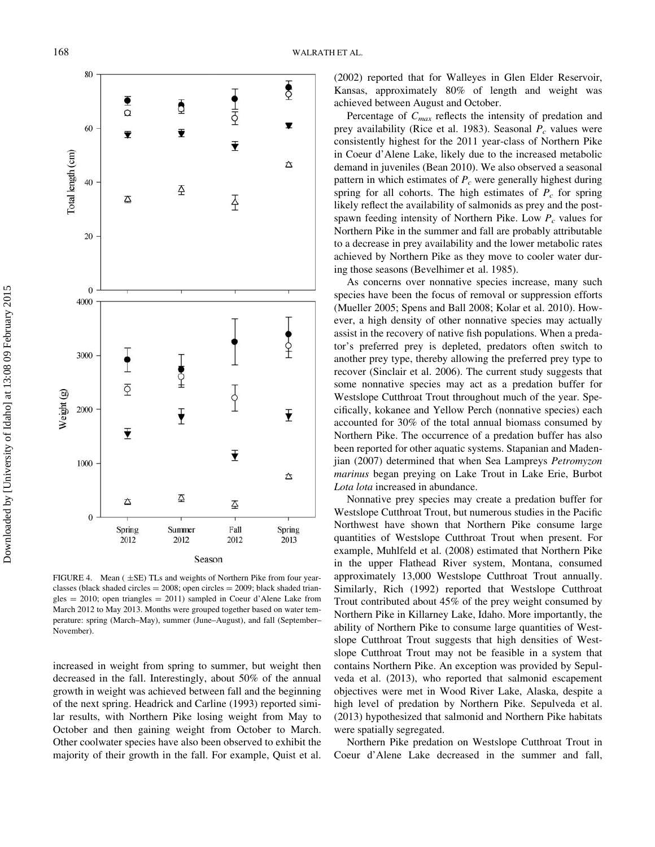

FIGURE 4. Mean  $(\pm SE)$  TLs and weights of Northern Pike from four yearclasses (black shaded circles  $= 2008$ ; open circles  $= 2009$ ; black shaded triangles  $= 2010$ ; open triangles  $= 2011$ ) sampled in Coeur d'Alene Lake from March 2012 to May 2013. Months were grouped together based on water temperature: spring (March–May), summer (June–August), and fall (September– November).

increased in weight from spring to summer, but weight then decreased in the fall. Interestingly, about 50% of the annual growth in weight was achieved between fall and the beginning of the next spring. Headrick and Carline (1993) reported similar results, with Northern Pike losing weight from May to October and then gaining weight from October to March. Other coolwater species have also been observed to exhibit the majority of their growth in the fall. For example, Quist et al. (2002) reported that for Walleyes in Glen Elder Reservoir, Kansas, approximately 80% of length and weight was achieved between August and October.

Percentage of  $C_{max}$  reflects the intensity of predation and prey availability (Rice et al. 1983). Seasonal  $P_c$  values were consistently highest for the 2011 year-class of Northern Pike in Coeur d'Alene Lake, likely due to the increased metabolic demand in juveniles (Bean 2010). We also observed a seasonal pattern in which estimates of  $P_c$  were generally highest during spring for all cohorts. The high estimates of  $P_c$  for spring likely reflect the availability of salmonids as prey and the postspawn feeding intensity of Northern Pike. Low  $P_c$  values for Northern Pike in the summer and fall are probably attributable to a decrease in prey availability and the lower metabolic rates achieved by Northern Pike as they move to cooler water during those seasons (Bevelhimer et al. 1985).

As concerns over nonnative species increase, many such species have been the focus of removal or suppression efforts (Mueller 2005; Spens and Ball 2008; Kolar et al. 2010). However, a high density of other nonnative species may actually assist in the recovery of native fish populations. When a predator's preferred prey is depleted, predators often switch to another prey type, thereby allowing the preferred prey type to recover (Sinclair et al. 2006). The current study suggests that some nonnative species may act as a predation buffer for Westslope Cutthroat Trout throughout much of the year. Specifically, kokanee and Yellow Perch (nonnative species) each accounted for 30% of the total annual biomass consumed by Northern Pike. The occurrence of a predation buffer has also been reported for other aquatic systems. Stapanian and Madenjian (2007) determined that when Sea Lampreys Petromyzon marinus began preying on Lake Trout in Lake Erie, Burbot Lota lota increased in abundance.

Nonnative prey species may create a predation buffer for Westslope Cutthroat Trout, but numerous studies in the Pacific Northwest have shown that Northern Pike consume large quantities of Westslope Cutthroat Trout when present. For example, Muhlfeld et al. (2008) estimated that Northern Pike in the upper Flathead River system, Montana, consumed approximately 13,000 Westslope Cutthroat Trout annually. Similarly, Rich (1992) reported that Westslope Cutthroat Trout contributed about 45% of the prey weight consumed by Northern Pike in Killarney Lake, Idaho. More importantly, the ability of Northern Pike to consume large quantities of Westslope Cutthroat Trout suggests that high densities of Westslope Cutthroat Trout may not be feasible in a system that contains Northern Pike. An exception was provided by Sepulveda et al. (2013), who reported that salmonid escapement objectives were met in Wood River Lake, Alaska, despite a high level of predation by Northern Pike. Sepulveda et al. (2013) hypothesized that salmonid and Northern Pike habitats were spatially segregated.

Northern Pike predation on Westslope Cutthroat Trout in Coeur d'Alene Lake decreased in the summer and fall,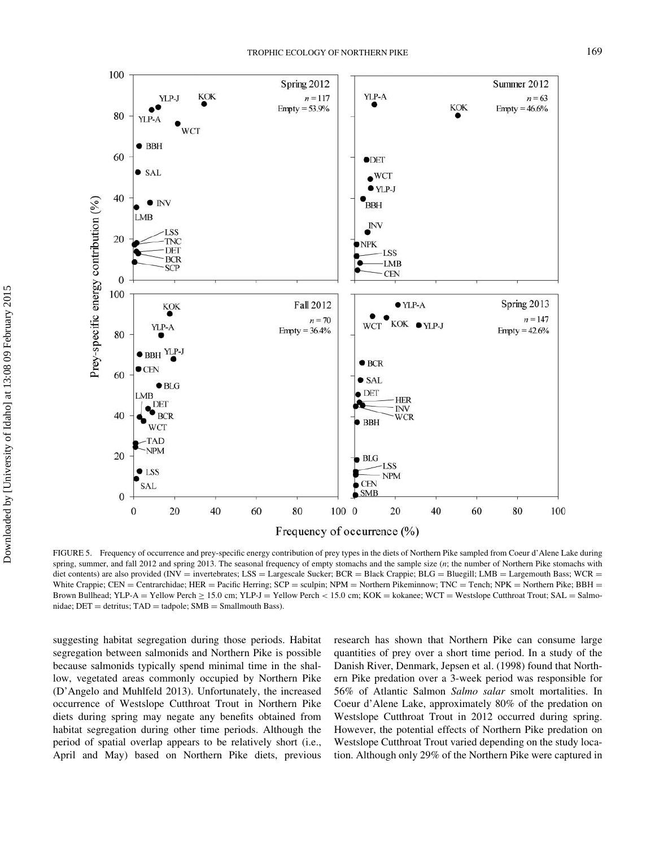

FIGURE 5. Frequency of occurrence and prey-specific energy contribution of prey types in the diets of Northern Pike sampled from Coeur d'Alene Lake during spring, summer, and fall 2012 and spring 2013. The seasonal frequency of empty stomachs and the sample size (n; the number of Northern Pike stomachs with diet contents) are also provided (INV = invertebrates; LSS = Largescale Sucker; BCR = Black Crappie; BLG = Bluegill; LMB = Largemouth Bass; WCR = White Crappie; CEN = Centrarchidae; HER = Pacific Herring; SCP = sculpin; NPM = Northern Pikeminnow; TNC = Tench; NPK = Northern Pike; BBH = Brown Bullhead; YLP-A = Yellow Perch  $\geq 15.0$  cm; YLP-J = Yellow Perch < 15.0 cm; KOK = kokanee; WCT = Westslope Cutthroat Trout; SAL = Salmonidae;  $DET =$  detritus;  $TAD =$  tadpole;  $SMB =$  Smallmouth Bass).

suggesting habitat segregation during those periods. Habitat segregation between salmonids and Northern Pike is possible because salmonids typically spend minimal time in the shallow, vegetated areas commonly occupied by Northern Pike (D'Angelo and Muhlfeld 2013). Unfortunately, the increased occurrence of Westslope Cutthroat Trout in Northern Pike diets during spring may negate any benefits obtained from habitat segregation during other time periods. Although the period of spatial overlap appears to be relatively short (i.e., April and May) based on Northern Pike diets, previous research has shown that Northern Pike can consume large quantities of prey over a short time period. In a study of the Danish River, Denmark, Jepsen et al. (1998) found that Northern Pike predation over a 3-week period was responsible for 56% of Atlantic Salmon Salmo salar smolt mortalities. In Coeur d'Alene Lake, approximately 80% of the predation on Westslope Cutthroat Trout in 2012 occurred during spring. However, the potential effects of Northern Pike predation on Westslope Cutthroat Trout varied depending on the study location. Although only 29% of the Northern Pike were captured in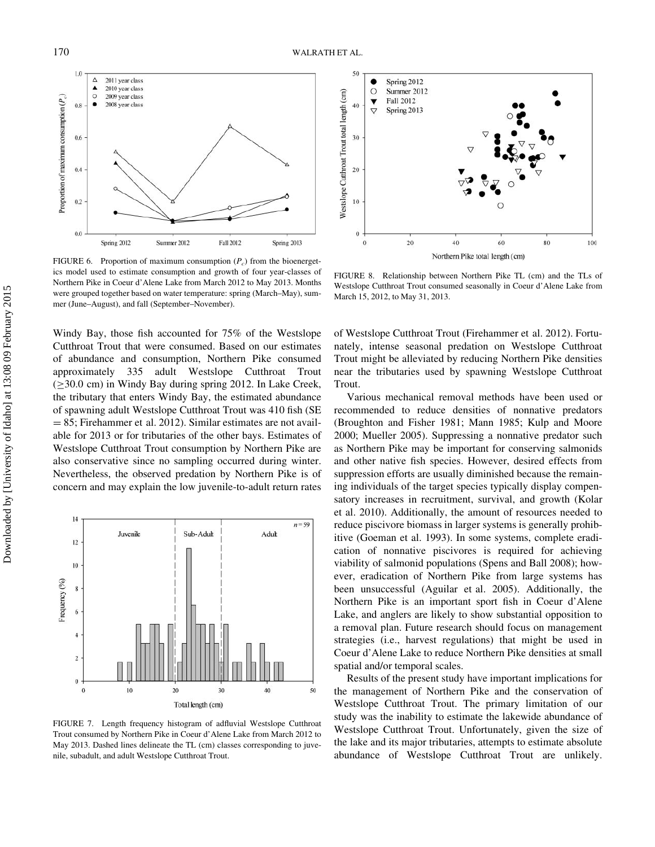

FIGURE 6. Proportion of maximum consumption  $(P_c)$  from the bioenergetics model used to estimate consumption and growth of four year-classes of Northern Pike in Coeur d'Alene Lake from March 2012 to May 2013. Months were grouped together based on water temperature: spring (March–May), summer (June–August), and fall (September–November).

Windy Bay, those fish accounted for 75% of the Westslope Cutthroat Trout that were consumed. Based on our estimates of abundance and consumption, Northern Pike consumed approximately 335 adult Westslope Cutthroat Trout  $(\geq 30.0 \text{ cm})$  in Windy Bay during spring 2012. In Lake Creek, the tributary that enters Windy Bay, the estimated abundance of spawning adult Westslope Cutthroat Trout was 410 fish (SE  $= 85$ ; Firehammer et al. 2012). Similar estimates are not available for 2013 or for tributaries of the other bays. Estimates of Westslope Cutthroat Trout consumption by Northern Pike are also conservative since no sampling occurred during winter. Nevertheless, the observed predation by Northern Pike is of concern and may explain the low juvenile-to-adult return rates



FIGURE 7. Length frequency histogram of adfluvial Westslope Cutthroat Trout consumed by Northern Pike in Coeur d'Alene Lake from March 2012 to May 2013. Dashed lines delineate the TL (cm) classes corresponding to juvenile, subadult, and adult Westslope Cutthroat Trout.



FIGURE 8. Relationship between Northern Pike TL (cm) and the TLs of Westslope Cutthroat Trout consumed seasonally in Coeur d'Alene Lake from March 15, 2012, to May 31, 2013.

of Westslope Cutthroat Trout (Firehammer et al. 2012). Fortunately, intense seasonal predation on Westslope Cutthroat Trout might be alleviated by reducing Northern Pike densities near the tributaries used by spawning Westslope Cutthroat Trout.

Various mechanical removal methods have been used or recommended to reduce densities of nonnative predators (Broughton and Fisher 1981; Mann 1985; Kulp and Moore 2000; Mueller 2005). Suppressing a nonnative predator such as Northern Pike may be important for conserving salmonids and other native fish species. However, desired effects from suppression efforts are usually diminished because the remaining individuals of the target species typically display compensatory increases in recruitment, survival, and growth (Kolar et al. 2010). Additionally, the amount of resources needed to reduce piscivore biomass in larger systems is generally prohibitive (Goeman et al. 1993). In some systems, complete eradication of nonnative piscivores is required for achieving viability of salmonid populations (Spens and Ball 2008); however, eradication of Northern Pike from large systems has been unsuccessful (Aguilar et al. 2005). Additionally, the Northern Pike is an important sport fish in Coeur d'Alene Lake, and anglers are likely to show substantial opposition to a removal plan. Future research should focus on management strategies (i.e., harvest regulations) that might be used in Coeur d'Alene Lake to reduce Northern Pike densities at small spatial and/or temporal scales.

Results of the present study have important implications for the management of Northern Pike and the conservation of Westslope Cutthroat Trout. The primary limitation of our study was the inability to estimate the lakewide abundance of Westslope Cutthroat Trout. Unfortunately, given the size of the lake and its major tributaries, attempts to estimate absolute abundance of Westslope Cutthroat Trout are unlikely.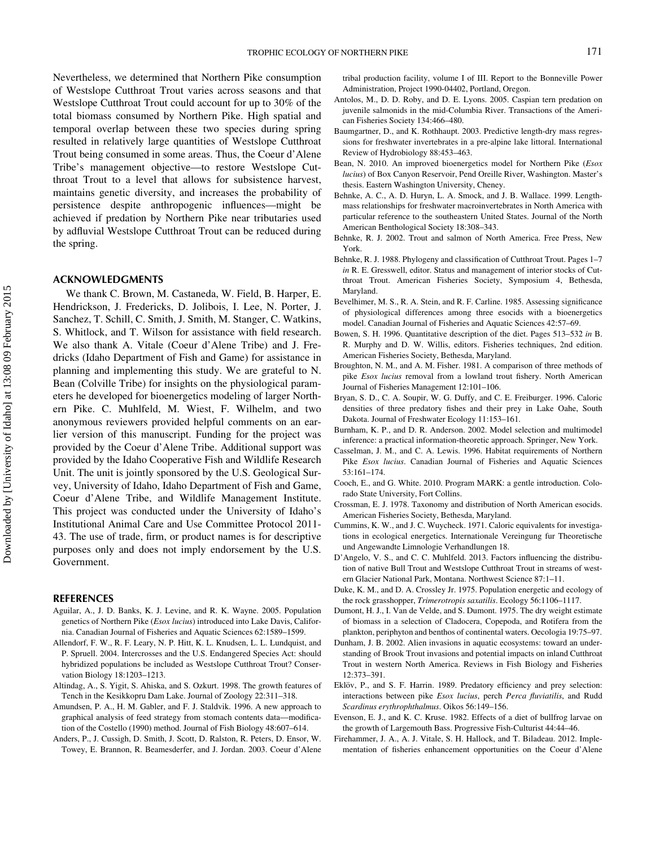Nevertheless, we determined that Northern Pike consumption of Westslope Cutthroat Trout varies across seasons and that Westslope Cutthroat Trout could account for up to 30% of the total biomass consumed by Northern Pike. High spatial and temporal overlap between these two species during spring resulted in relatively large quantities of Westslope Cutthroat Trout being consumed in some areas. Thus, the Coeur d'Alene Tribe's management objective—to restore Westslope Cutthroat Trout to a level that allows for subsistence harvest, maintains genetic diversity, and increases the probability of persistence despite anthropogenic influences—might be achieved if predation by Northern Pike near tributaries used by adfluvial Westslope Cutthroat Trout can be reduced during the spring.

#### ACKNOWLEDGMENTS

We thank C. Brown, M. Castaneda, W. Field, B. Harper, E. Hendrickson, J. Fredericks, D. Jolibois, I. Lee, N. Porter, J. Sanchez, T. Schill, C. Smith, J. Smith, M. Stanger, C. Watkins, S. Whitlock, and T. Wilson for assistance with field research. We also thank A. Vitale (Coeur d'Alene Tribe) and J. Fredricks (Idaho Department of Fish and Game) for assistance in planning and implementing this study. We are grateful to N. Bean (Colville Tribe) for insights on the physiological parameters he developed for bioenergetics modeling of larger Northern Pike. C. Muhlfeld, M. Wiest, F. Wilhelm, and two anonymous reviewers provided helpful comments on an earlier version of this manuscript. Funding for the project was provided by the Coeur d'Alene Tribe. Additional support was provided by the Idaho Cooperative Fish and Wildlife Research Unit. The unit is jointly sponsored by the U.S. Geological Survey, University of Idaho, Idaho Department of Fish and Game, Coeur d'Alene Tribe, and Wildlife Management Institute. This project was conducted under the University of Idaho's Institutional Animal Care and Use Committee Protocol 2011- 43. The use of trade, firm, or product names is for descriptive purposes only and does not imply endorsement by the U.S. Government.

#### REFERENCES

- Aguilar, A., J. D. Banks, K. J. Levine, and R. K. Wayne. 2005. Population genetics of Northern Pike (Esox lucius) introduced into Lake Davis, California. Canadian Journal of Fisheries and Aquatic Sciences 62:1589–1599.
- Allendorf, F. W., R. F. Leary, N. P. Hitt, K. L. Knudsen, L. L. Lundquist, and P. Spruell. 2004. Intercrosses and the U.S. Endangered Species Act: should hybridized populations be included as Westslope Cutthroat Trout? Conservation Biology 18:1203–1213.
- Altindag, A., S. Yigit, S. Ahiska, and S. Ozkurt. 1998. The growth features of Tench in the Kesikkopru Dam Lake. Journal of Zoology 22:311–318.
- Amundsen, P. A., H. M. Gabler, and F. J. Staldvik. 1996. A new approach to graphical analysis of feed strategy from stomach contents data—modification of the Costello (1990) method. Journal of Fish Biology 48:607–614.
- Anders, P., J. Cussigh, D. Smith, J. Scott, D. Ralston, R. Peters, D. Ensor, W. Towey, E. Brannon, R. Beamesderfer, and J. Jordan. 2003. Coeur d'Alene

tribal production facility, volume I of III. Report to the Bonneville Power Administration, Project 1990-04402, Portland, Oregon.

- Antolos, M., D. D. Roby, and D. E. Lyons. 2005. Caspian tern predation on juvenile salmonids in the mid-Columbia River. Transactions of the American Fisheries Society 134:466–480.
- Baumgartner, D., and K. Rothhaupt. 2003. Predictive length-dry mass regressions for freshwater invertebrates in a pre-alpine lake littoral. International Review of Hydrobiology 88:453–463.
- Bean, N. 2010. An improved bioenergetics model for Northern Pike (Esox lucius) of Box Canyon Reservoir, Pend Oreille River, Washington. Master's thesis. Eastern Washington University, Cheney.
- Behnke, A. C., A. D. Huryn, L. A. Smock, and J. B. Wallace. 1999. Lengthmass relationships for freshwater macroinvertebrates in North America with particular reference to the southeastern United States. Journal of the North American Benthological Society 18:308–343.
- Behnke, R. J. 2002. Trout and salmon of North America. Free Press, New York.
- Behnke, R. J. 1988. Phylogeny and classification of Cutthroat Trout. Pages 1–7 in R. E. Gresswell, editor. Status and management of interior stocks of Cutthroat Trout. American Fisheries Society, Symposium 4, Bethesda, **Maryland**
- Bevelhimer, M. S., R. A. Stein, and R. F. Carline. 1985. Assessing significance of physiological differences among three esocids with a bioenergetics model. Canadian Journal of Fisheries and Aquatic Sciences 42:57–69.
- Bowen, S. H. 1996. Quantitative description of the diet. Pages 513–532 in B. R. Murphy and D. W. Willis, editors. Fisheries techniques, 2nd edition. American Fisheries Society, Bethesda, Maryland.
- Broughton, N. M., and A. M. Fisher. 1981. A comparison of three methods of pike Esox lucius removal from a lowland trout fishery. North American Journal of Fisheries Management 12:101–106.
- Bryan, S. D., C. A. Soupir, W. G. Duffy, and C. E. Freiburger. 1996. Caloric densities of three predatory fishes and their prey in Lake Oahe, South Dakota. Journal of Freshwater Ecology 11:153–161.
- Burnham, K. P., and D. R. Anderson. 2002. Model selection and multimodel inference: a practical information-theoretic approach. Springer, New York.
- Casselman, J. M., and C. A. Lewis. 1996. Habitat requirements of Northern Pike *Esox lucius*. Canadian Journal of Fisheries and Aquatic Sciences 53:161–174.
- Cooch, E., and G. White. 2010. Program MARK: a gentle introduction. Colorado State University, Fort Collins.
- Crossman, E. J. 1978. Taxonomy and distribution of North American esocids. American Fisheries Society, Bethesda, Maryland.
- Cummins, K. W., and J. C. Wuycheck. 1971. Caloric equivalents for investigations in ecological energetics. Internationale Vereingung fur Theoretische und Angewandte Limnologie Verhandlungen 18.
- D'Angelo, V. S., and C. C. Muhlfeld. 2013. Factors influencing the distribution of native Bull Trout and Westslope Cutthroat Trout in streams of western Glacier National Park, Montana. Northwest Science 87:1–11.
- Duke, K. M., and D. A. Crossley Jr. 1975. Population energetic and ecology of the rock grasshopper, Trimerotropis saxatilis. Ecology 56:1106–1117.
- Dumont, H. J., I. Van de Velde, and S. Dumont. 1975. The dry weight estimate of biomass in a selection of Cladocera, Copepoda, and Rotifera from the plankton, periphyton and benthos of continental waters. Oecologia 19:75–97.
- Dunham, J. B. 2002. Alien invasions in aquatic ecosystems: toward an understanding of Brook Trout invasions and potential impacts on inland Cutthroat Trout in western North America. Reviews in Fish Biology and Fisheries 12:373–391.
- Eklöv, P., and S. F. Harrin. 1989. Predatory efficiency and prey selection: interactions between pike Esox lucius, perch Perca fluviatilis, and Rudd Scardinus erythrophthalmus. Oikos 56:149–156.
- Evenson, E. J., and K. C. Kruse. 1982. Effects of a diet of bullfrog larvae on the growth of Largemouth Bass. Progressive Fish-Culturist 44:44–46.
- Firehammer, J. A., A. J. Vitale, S. H. Hallock, and T. Biladeau. 2012. Implementation of fisheries enhancement opportunities on the Coeur d'Alene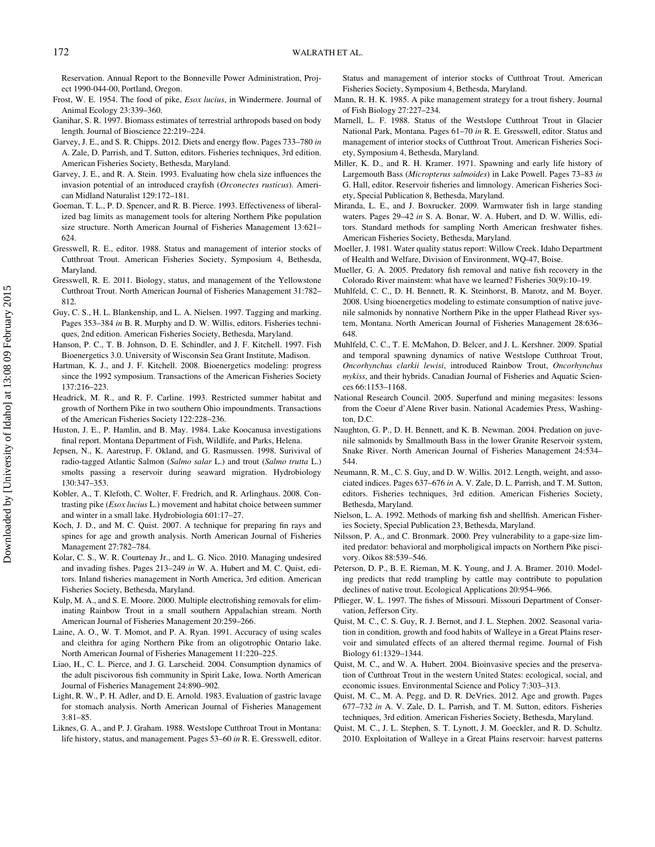Reservation. Annual Report to the Bonneville Power Administration, Project 1990-044-00, Portland, Oregon.

- Frost, W. E. 1954. The food of pike, Esox lucius, in Windermere. Journal of Animal Ecology 23:339–360.
- Ganihar, S. R. 1997. Biomass estimates of terrestrial arthropods based on body length. Journal of Bioscience 22:219–224.
- Garvey, J. E., and S. R. Chipps. 2012. Diets and energy flow. Pages 733–780 in A. Zale, D. Parrish, and T. Sutton, editors. Fisheries techniques, 3rd edition. American Fisheries Society, Bethesda, Maryland.
- Garvey, J. E., and R. A. Stein. 1993. Evaluating how chela size influences the invasion potential of an introduced crayfish (Orconectes rusticus). American Midland Naturalist 129:172–181.
- Goeman, T. L., P. D. Spencer, and R. B. Pierce. 1993. Effectiveness of liberalized bag limits as management tools for altering Northern Pike population size structure. North American Journal of Fisheries Management 13:621– 624.
- Gresswell, R. E., editor. 1988. Status and management of interior stocks of Cutthroat Trout. American Fisheries Society, Symposium 4, Bethesda, Maryland.
- Gresswell, R. E. 2011. Biology, status, and management of the Yellowstone Cutthroat Trout. North American Journal of Fisheries Management 31:782– 812.
- Guy, C. S., H. L. Blankenship, and L. A. Nielsen. 1997. Tagging and marking. Pages 353–384 in B. R. Murphy and D. W. Willis, editors. Fisheries techniques, 2nd edition. American Fisheries Society, Bethesda, Maryland.
- Hanson, P. C., T. B. Johnson, D. E. Schindler, and J. F. Kitchell. 1997. Fish Bioenergetics 3.0. University of Wisconsin Sea Grant Institute, Madison.
- Hartman, K. J., and J. F. Kitchell. 2008. Bioenergetics modeling: progress since the 1992 symposium. Transactions of the American Fisheries Society 137:216–223.
- Headrick, M. R., and R. F. Carline. 1993. Restricted summer habitat and growth of Northern Pike in two southern Ohio impoundments. Transactions of the American Fisheries Society 122:228–236.
- Huston, J. E., P. Hamlin, and B. May. 1984. Lake Koocanusa investigations final report. Montana Department of Fish, Wildlife, and Parks, Helena.
- Jepsen, N., K. Aarestrup, F. Okland, and G. Rasmussen. 1998. Surivival of radio-tagged Atlantic Salmon (Salmo salar L.) and trout (Salmo trutta L.) smolts passing a reservoir during seaward migration. Hydrobiology 130:347–353.
- Kobler, A., T. Klefoth, C. Wolter, F. Fredrich, and R. Arlinghaus. 2008. Contrasting pike (Esox lucius L.) movement and habitat choice between summer and winter in a small lake. Hydrobiologia 601:17–27.
- Koch, J. D., and M. C. Quist. 2007. A technique for preparing fin rays and spines for age and growth analysis. North American Journal of Fisheries Management 27:782–784.
- Kolar, C. S., W. R. Courtenay Jr., and L. G. Nico. 2010. Managing undesired and invading fishes. Pages 213–249 in W. A. Hubert and M. C. Quist, editors. Inland fisheries management in North America, 3rd edition. American Fisheries Society, Bethesda, Maryland.
- Kulp, M. A., and S. E. Moore. 2000. Multiple electrofishing removals for eliminating Rainbow Trout in a small southern Appalachian stream. North American Journal of Fisheries Management 20:259–266.
- Laine, A. O., W. T. Momot, and P. A. Ryan. 1991. Accuracy of using scales and cleithra for aging Northern Pike from an oligotrophic Ontario lake. North American Journal of Fisheries Management 11:220–225.
- Liao, H., C. L. Pierce, and J. G. Larscheid. 2004. Consumption dynamics of the adult piscivorous fish community in Spirit Lake, Iowa. North American Journal of Fisheries Management 24:890–902.
- Light, R. W., P. H. Adler, and D. E. Arnold. 1983. Evaluation of gastric lavage for stomach analysis. North American Journal of Fisheries Management 3:81–85.
- Liknes, G. A., and P. J. Graham. 1988. Westslope Cutthroat Trout in Montana: life history, status, and management. Pages 53–60 in R. E. Gresswell, editor.

Status and management of interior stocks of Cutthroat Trout. American Fisheries Society, Symposium 4, Bethesda, Maryland.

- Mann, R. H. K. 1985. A pike management strategy for a trout fishery. Journal of Fish Biology 27:227–234.
- Marnell, L. F. 1988. Status of the Westslope Cutthroat Trout in Glacier National Park, Montana. Pages 61–70 in R. E. Gresswell, editor. Status and management of interior stocks of Cutthroat Trout. American Fisheries Society, Symposium 4, Bethesda, Maryland.
- Miller, K. D., and R. H. Kramer. 1971. Spawning and early life history of Largemouth Bass (Micropterus salmoides) in Lake Powell. Pages 73–83 in G. Hall, editor. Reservoir fisheries and limnology. American Fisheries Society, Special Publication 8, Bethesda, Maryland.
- Miranda, L. E., and J. Boxrucker. 2009. Warmwater fish in large standing waters. Pages 29–42 in S. A. Bonar, W. A. Hubert, and D. W. Willis, editors. Standard methods for sampling North American freshwater fishes. American Fisheries Society, Bethesda, Maryland.
- Moeller, J. 1981. Water quality status report: Willow Creek. Idaho Department of Health and Welfare, Division of Environment, WQ-47, Boise.
- Mueller, G. A. 2005. Predatory fish removal and native fish recovery in the Colorado River mainstem: what have we learned? Fisheries 30(9):10–19.
- Muhlfeld, C. C., D. H. Bennett, R. K. Steinhorst, B. Marotz, and M. Boyer. 2008. Using bioenergetics modeling to estimate consumption of native juvenile salmonids by nonnative Northern Pike in the upper Flathead River system, Montana. North American Journal of Fisheries Management 28:636– 648.
- Muhlfeld, C. C., T. E. McMahon, D. Belcer, and J. L. Kershner. 2009. Spatial and temporal spawning dynamics of native Westslope Cutthroat Trout, Oncorhynchus clarkii lewisi, introduced Rainbow Trout, Oncorhynchus mykiss, and their hybrids. Canadian Journal of Fisheries and Aquatic Sciences 66:1153–1168.
- National Research Council. 2005. Superfund and mining megasites: lessons from the Coeur d'Alene River basin. National Academies Press, Washington, D.C.
- Naughton, G. P., D. H. Bennett, and K. B. Newman. 2004. Predation on juvenile salmonids by Smallmouth Bass in the lower Granite Reservoir system, Snake River. North American Journal of Fisheries Management 24:534– 544.
- Neumann, R. M., C. S. Guy, and D. W. Willis. 2012. Length, weight, and associated indices. Pages 637–676 in A. V. Zale, D. L. Parrish, and T. M. Sutton, editors. Fisheries techniques, 3rd edition. American Fisheries Society, Bethesda, Maryland.
- Nielson, L. A. 1992. Methods of marking fish and shellfish. American Fisheries Society, Special Publication 23, Bethesda, Maryland.
- Nilsson, P. A., and C. Bronmark. 2000. Prey vulnerability to a gape-size limited predator: behavioral and morpholigical impacts on Northern Pike piscivory. Oikos 88:539–546.
- Peterson, D. P., B. E. Rieman, M. K. Young, and J. A. Bramer. 2010. Modeling predicts that redd trampling by cattle may contribute to population declines of native trout. Ecological Applications 20:954–966.
- Pflieger, W. L. 1997. The fishes of Missouri. Missouri Department of Conservation, Jefferson City.
- Quist, M. C., C. S. Guy, R. J. Bernot, and J. L. Stephen. 2002. Seasonal variation in condition, growth and food habits of Walleye in a Great Plains reservoir and simulated effects of an altered thermal regime. Journal of Fish Biology 61:1329–1344.
- Quist, M. C., and W. A. Hubert. 2004. Bioinvasive species and the preservation of Cutthroat Trout in the western United States: ecological, social, and economic issues. Environmental Science and Policy 7:303–313.
- Quist, M. C., M. A. Pegg, and D. R. DeVries. 2012. Age and growth. Pages 677–732 in A. V. Zale, D. L. Parrish, and T. M. Sutton, editors. Fisheries techniques, 3rd edition. American Fisheries Society, Bethesda, Maryland.
- Quist, M. C., J. L. Stephen, S. T. Lynott, J. M. Goeckler, and R. D. Schultz. 2010. Exploitation of Walleye in a Great Plains reservoir: harvest patterns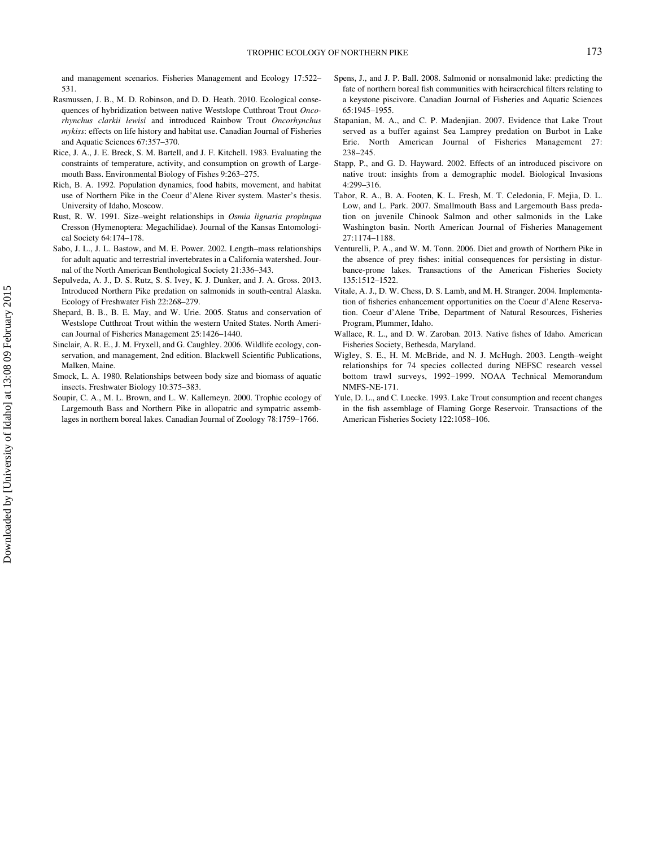and management scenarios. Fisheries Management and Ecology 17:522– 531.

- Rasmussen, J. B., M. D. Robinson, and D. D. Heath. 2010. Ecological consequences of hybridization between native Westslope Cutthroat Trout Oncorhynchus clarkii lewisi and introduced Rainbow Trout Oncorhynchus mykiss: effects on life history and habitat use. Canadian Journal of Fisheries and Aquatic Sciences 67:357–370.
- Rice, J. A., J. E. Breck, S. M. Bartell, and J. F. Kitchell. 1983. Evaluating the constraints of temperature, activity, and consumption on growth of Largemouth Bass. Environmental Biology of Fishes 9:263–275.
- Rich, B. A. 1992. Population dynamics, food habits, movement, and habitat use of Northern Pike in the Coeur d'Alene River system. Master's thesis. University of Idaho, Moscow.
- Rust, R. W. 1991. Size–weight relationships in Osmia lignaria propinqua Cresson (Hymenoptera: Megachilidae). Journal of the Kansas Entomological Society 64:174–178.
- Sabo, J. L., J. L. Bastow, and M. E. Power. 2002. Length–mass relationships for adult aquatic and terrestrial invertebrates in a California watershed. Journal of the North American Benthological Society 21:336–343.
- Sepulveda, A. J., D. S. Rutz, S. S. Ivey, K. J. Dunker, and J. A. Gross. 2013. Introduced Northern Pike predation on salmonids in south-central Alaska. Ecology of Freshwater Fish 22:268–279.
- Shepard, B. B., B. E. May, and W. Urie. 2005. Status and conservation of Westslope Cutthroat Trout within the western United States. North American Journal of Fisheries Management 25:1426–1440.
- Sinclair, A. R. E., J. M. Fryxell, and G. Caughley. 2006. Wildlife ecology, conservation, and management, 2nd edition. Blackwell Scientific Publications, Malken, Maine.
- Smock, L. A. 1980. Relationships between body size and biomass of aquatic insects. Freshwater Biology 10:375–383.
- Soupir, C. A., M. L. Brown, and L. W. Kallemeyn. 2000. Trophic ecology of Largemouth Bass and Northern Pike in allopatric and sympatric assemblages in northern boreal lakes. Canadian Journal of Zoology 78:1759–1766.
- Spens, J., and J. P. Ball. 2008. Salmonid or nonsalmonid lake: predicting the fate of northern boreal fish communities with heiracrchical filters relating to a keystone piscivore. Canadian Journal of Fisheries and Aquatic Sciences 65:1945–1955.
- Stapanian, M. A., and C. P. Madenjian. 2007. Evidence that Lake Trout served as a buffer against Sea Lamprey predation on Burbot in Lake Erie. North American Journal of Fisheries Management 27: 238–245.
- Stapp, P., and G. D. Hayward. 2002. Effects of an introduced piscivore on native trout: insights from a demographic model. Biological Invasions  $4:299 - 316$ .
- Tabor, R. A., B. A. Footen, K. L. Fresh, M. T. Celedonia, F. Mejia, D. L. Low, and L. Park. 2007. Smallmouth Bass and Largemouth Bass predation on juvenile Chinook Salmon and other salmonids in the Lake Washington basin. North American Journal of Fisheries Management 27:1174–1188.
- Venturelli, P. A., and W. M. Tonn. 2006. Diet and growth of Northern Pike in the absence of prey fishes: initial consequences for persisting in disturbance-prone lakes. Transactions of the American Fisheries Society 135:1512–1522.
- Vitale, A. J., D. W. Chess, D. S. Lamb, and M. H. Stranger. 2004. Implementation of fisheries enhancement opportunities on the Coeur d'Alene Reservation. Coeur d'Alene Tribe, Department of Natural Resources, Fisheries Program, Plummer, Idaho.
- Wallace, R. L., and D. W. Zaroban. 2013. Native fishes of Idaho. American Fisheries Society, Bethesda, Maryland.
- Wigley, S. E., H. M. McBride, and N. J. McHugh. 2003. Length–weight relationships for 74 species collected during NEFSC research vessel bottom trawl surveys, 1992–1999. NOAA Technical Memorandum NMFS-NE-171.
- Yule, D. L., and C. Luecke. 1993. Lake Trout consumption and recent changes in the fish assemblage of Flaming Gorge Reservoir. Transactions of the American Fisheries Society 122:1058–106.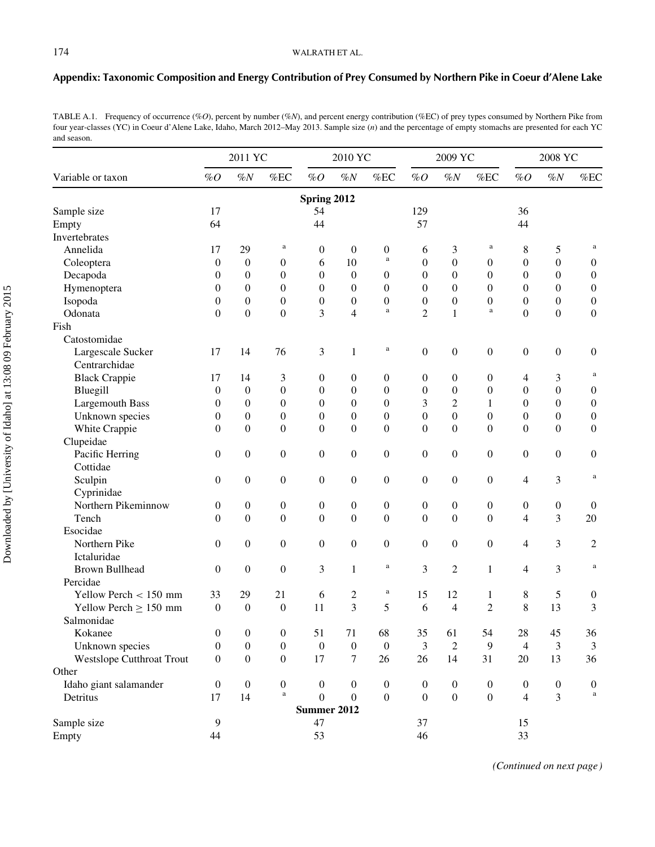#### 174 WALRATH ET AL.

## Appendix: Taxonomic Composition and Energy Contribution of Prey Consumed by Northern Pike in Coeur d'Alene Lake

TABLE A.1. Frequency of occurrence (%O), percent by number (%N), and percent energy contribution (%EC) of prey types consumed by Northern Pike from four year-classes (YC) in Coeur d'Alene Lake, Idaho, March 2012–May 2013. Sample size (n) and the percentage of empty stomachs are presented for each YC and season.

|                                  | 2011 YC          |                  |                  |                    | 2010 YC          |                  |                  | 2009 YC          |                  | 2008 YC          |                  |                  |
|----------------------------------|------------------|------------------|------------------|--------------------|------------------|------------------|------------------|------------------|------------------|------------------|------------------|------------------|
| Variable or taxon                | $\% O$           | $\%N$            | %EC              | $%$ O              | %N               | $\%$ EC          | $\%O$            | $\%N$            | $\%$ EC          | $\% O$           | $\%N$            | %EC              |
|                                  |                  |                  |                  | <b>Spring 2012</b> |                  |                  |                  |                  |                  |                  |                  |                  |
| Sample size                      | 17               |                  |                  | 54                 |                  |                  | 129              |                  |                  | 36               |                  |                  |
| Empty                            | 64               |                  |                  | 44                 |                  |                  | 57               |                  |                  | 44               |                  |                  |
| Invertebrates                    |                  |                  |                  |                    |                  |                  |                  |                  |                  |                  |                  |                  |
| Annelida                         | 17               | 29               | a                | $\boldsymbol{0}$   | $\boldsymbol{0}$ | $\boldsymbol{0}$ | 6                | 3                | $\rm{a}$         | 8                | 5                | a                |
| Coleoptera                       | $\boldsymbol{0}$ | $\boldsymbol{0}$ | $\boldsymbol{0}$ | 6                  | 10               | $\rm{a}$         | $\boldsymbol{0}$ | $\mathbf{0}$     | $\boldsymbol{0}$ | $\boldsymbol{0}$ | $\boldsymbol{0}$ | $\boldsymbol{0}$ |
| Decapoda                         | $\theta$         | $\theta$         | $\overline{0}$   | $\boldsymbol{0}$   | 0                | $\boldsymbol{0}$ | $\theta$         | $\mathbf{0}$     | $\overline{0}$   | $\boldsymbol{0}$ | $\boldsymbol{0}$ | $\boldsymbol{0}$ |
| Hymenoptera                      | $\theta$         | $\boldsymbol{0}$ | $\overline{0}$   | $\theta$           | $\theta$         | $\theta$         | $\theta$         | $\mathbf{0}$     | $\theta$         | $\boldsymbol{0}$ | $\mathbf{0}$     | $\boldsymbol{0}$ |
| Isopoda                          | $\theta$         | $\boldsymbol{0}$ | $\overline{0}$   | $\boldsymbol{0}$   | 0                | $\mathbf{0}$     | $\theta$         | $\boldsymbol{0}$ | $\overline{0}$   | $\boldsymbol{0}$ | $\boldsymbol{0}$ | $\boldsymbol{0}$ |
| Odonata                          | $\mathbf{0}$     | $\boldsymbol{0}$ | $\boldsymbol{0}$ | 3                  | $\overline{4}$   | $\bf{a}$         | $\overline{c}$   | $\mathbf{1}$     | $\rm{a}$         | $\boldsymbol{0}$ | $\boldsymbol{0}$ | $\boldsymbol{0}$ |
| Fish                             |                  |                  |                  |                    |                  |                  |                  |                  |                  |                  |                  |                  |
| Catostomidae                     |                  |                  |                  |                    |                  |                  |                  |                  |                  |                  |                  |                  |
| Largescale Sucker                | 17               | 14               | 76               | 3                  | 1                | a                | $\boldsymbol{0}$ | $\boldsymbol{0}$ | $\boldsymbol{0}$ | $\boldsymbol{0}$ | $\boldsymbol{0}$ | $\boldsymbol{0}$ |
| Centrarchidae                    |                  |                  |                  |                    |                  |                  |                  |                  |                  |                  |                  |                  |
| <b>Black Crappie</b>             | 17               | 14               | 3                | $\boldsymbol{0}$   | 0                | $\boldsymbol{0}$ | $\boldsymbol{0}$ | $\boldsymbol{0}$ | $\boldsymbol{0}$ | 4                | 3                | a                |
| Bluegill                         | $\theta$         | $\boldsymbol{0}$ | $\theta$         | $\theta$           | $\overline{0}$   | $\mathbf{0}$     | $\theta$         | $\mathbf{0}$     | $\theta$         | $\overline{0}$   | $\boldsymbol{0}$ | $\boldsymbol{0}$ |
| <b>Largemouth Bass</b>           | $\theta$         | $\theta$         | $\theta$         | $\overline{0}$     | $\overline{0}$   | $\mathbf{0}$     | 3                | $\mathfrak{2}$   | 1                | $\overline{0}$   | $\mathbf{0}$     | $\boldsymbol{0}$ |
| Unknown species                  | 0                | $\boldsymbol{0}$ | $\theta$         | $\overline{0}$     | $\theta$         | $\mathbf{0}$     | $\boldsymbol{0}$ | $\boldsymbol{0}$ | $\theta$         | $\boldsymbol{0}$ | $\mathbf{0}$     | $\boldsymbol{0}$ |
| White Crappie                    | $\overline{0}$   | $\boldsymbol{0}$ | $\boldsymbol{0}$ | $\boldsymbol{0}$   | $\theta$         | $\boldsymbol{0}$ | $\boldsymbol{0}$ | $\boldsymbol{0}$ | $\theta$         | $\boldsymbol{0}$ | $\boldsymbol{0}$ | $\boldsymbol{0}$ |
| Clupeidae                        |                  |                  |                  |                    |                  |                  |                  |                  |                  |                  |                  |                  |
| Pacific Herring                  | 0                | $\boldsymbol{0}$ | $\boldsymbol{0}$ | $\boldsymbol{0}$   | $\boldsymbol{0}$ | $\boldsymbol{0}$ | $\boldsymbol{0}$ | $\boldsymbol{0}$ | $\boldsymbol{0}$ | $\boldsymbol{0}$ | $\boldsymbol{0}$ | $\boldsymbol{0}$ |
| Cottidae                         |                  |                  |                  |                    |                  |                  |                  |                  |                  |                  |                  |                  |
| Sculpin                          | $\boldsymbol{0}$ | $\boldsymbol{0}$ | $\boldsymbol{0}$ | $\boldsymbol{0}$   | $\boldsymbol{0}$ | $\boldsymbol{0}$ | $\boldsymbol{0}$ | $\boldsymbol{0}$ | $\boldsymbol{0}$ | 4                | 3                | $\bf{a}$         |
| Cyprinidae                       |                  |                  |                  |                    |                  |                  |                  |                  |                  |                  |                  |                  |
| Northern Pikeminnow              | 0                | $\boldsymbol{0}$ | $\boldsymbol{0}$ | $\boldsymbol{0}$   | $\boldsymbol{0}$ | $\boldsymbol{0}$ | $\boldsymbol{0}$ | $\boldsymbol{0}$ | $\boldsymbol{0}$ | 0                | $\boldsymbol{0}$ | $\boldsymbol{0}$ |
| Tench                            | $\overline{0}$   | $\boldsymbol{0}$ | $\boldsymbol{0}$ | $\mathbf{0}$       | $\mathbf{0}$     | $\mathbf{0}$     | $\boldsymbol{0}$ | $\boldsymbol{0}$ | $\theta$         | $\overline{4}$   | 3                | 20               |
| Esocidae                         |                  |                  |                  |                    |                  |                  |                  |                  |                  |                  |                  |                  |
| Northern Pike                    | $\boldsymbol{0}$ | $\boldsymbol{0}$ | $\boldsymbol{0}$ | $\boldsymbol{0}$   | $\boldsymbol{0}$ | $\boldsymbol{0}$ | $\boldsymbol{0}$ | $\boldsymbol{0}$ | $\boldsymbol{0}$ | 4                | 3                | $\overline{c}$   |
| Ictaluridae                      |                  |                  |                  |                    |                  |                  |                  |                  |                  |                  |                  |                  |
| <b>Brown Bullhead</b>            | $\boldsymbol{0}$ | $\boldsymbol{0}$ | $\boldsymbol{0}$ | 3                  | $\mathbf{1}$     | $\mathbf a$      | 3                | $\mathfrak{2}$   | 1                | 4                | 3                | $\bf{a}$         |
| Percidae                         |                  |                  |                  |                    |                  |                  |                  |                  |                  |                  |                  |                  |
| Yellow Perch $< 150$ mm          | 33               | 29               | 21               | 6                  | $\overline{c}$   | $\rm{a}$         | 15               | 12               | 1                | 8                | 5                | $\boldsymbol{0}$ |
| Yellow Perch $\geq 150$ mm       | $\boldsymbol{0}$ | $\boldsymbol{0}$ | $\theta$         | 11                 | 3                | 5                | 6                | $\overline{4}$   | $\overline{c}$   | 8                | 13               | 3                |
| Salmonidae                       |                  |                  |                  |                    |                  |                  |                  |                  |                  |                  |                  |                  |
| Kokanee                          | $\boldsymbol{0}$ | $\boldsymbol{0}$ | $\boldsymbol{0}$ | 51                 | 71               | 68               | 35               | 61               | 54               | 28               | 45               | 36               |
| Unknown species                  | $\boldsymbol{0}$ | $\boldsymbol{0}$ | $\boldsymbol{0}$ | $\boldsymbol{0}$   | $\boldsymbol{0}$ | $\boldsymbol{0}$ | $\mathfrak{Z}$   | $\overline{2}$   | 9                | $\overline{4}$   | $\mathfrak{Z}$   | $\mathfrak{Z}$   |
| <b>Westslope Cutthroat Trout</b> | $\boldsymbol{0}$ | $\boldsymbol{0}$ | $\boldsymbol{0}$ | 17                 | 7                | 26               | $26\,$           | 14               | 31               | $20\,$           | 13               | 36               |
| Other                            |                  |                  |                  |                    |                  |                  |                  |                  |                  |                  |                  |                  |
| Idaho giant salamander           | $\boldsymbol{0}$ | $\boldsymbol{0}$ | $\boldsymbol{0}$ | $\boldsymbol{0}$   | $\boldsymbol{0}$ | $\boldsymbol{0}$ | $\boldsymbol{0}$ | $\boldsymbol{0}$ | $\boldsymbol{0}$ | $\boldsymbol{0}$ | $\boldsymbol{0}$ | $\boldsymbol{0}$ |
| Detritus                         | 17               | 14               | $\bf a$          | $\boldsymbol{0}$   | $\boldsymbol{0}$ | $\boldsymbol{0}$ | $\boldsymbol{0}$ | $\boldsymbol{0}$ | $\boldsymbol{0}$ | $\overline{4}$   | $\overline{3}$   | $\mathbf{a}$     |
|                                  |                  |                  |                  | Summer 2012        |                  |                  |                  |                  |                  |                  |                  |                  |
| Sample size                      | 9                |                  |                  | 47                 |                  |                  | 37               |                  |                  | 15               |                  |                  |
| Empty                            | 44               |                  |                  | 53                 |                  |                  | 46               |                  |                  | 33               |                  |                  |

(Continued on next page )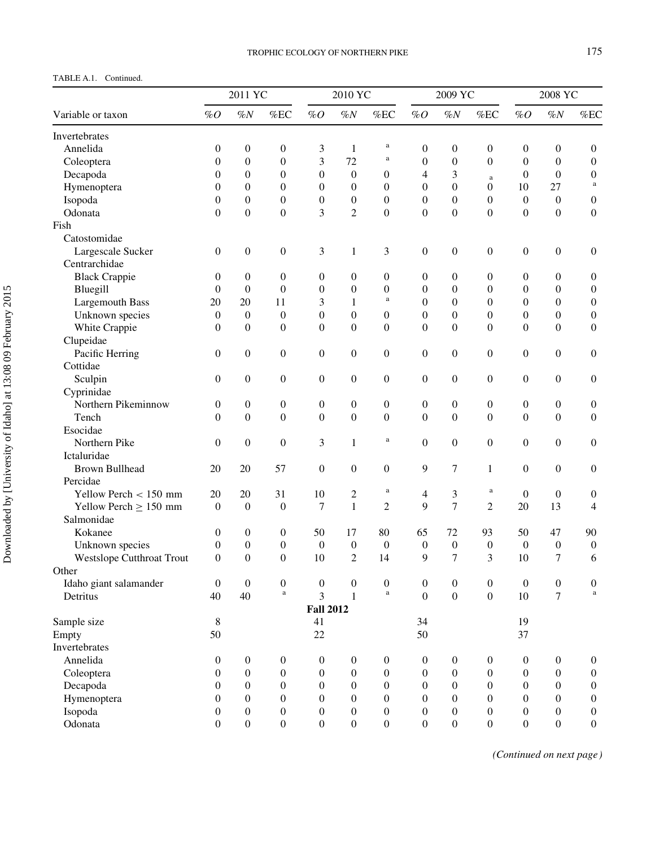#### TABLE A.1. Continued.

|                                           | 2011 YC                              |                  |                              |                        | 2010 YC                            |                              |                                      | 2009 YC                            |                                  | 2008 YC                |                                    |                              |
|-------------------------------------------|--------------------------------------|------------------|------------------------------|------------------------|------------------------------------|------------------------------|--------------------------------------|------------------------------------|----------------------------------|------------------------|------------------------------------|------------------------------|
| Variable or taxon                         | $%$ O                                | $\%N$            | $\%$ EC                      | $%$ O                  | $\%N$                              | %EC                          | $%$ O                                | $\%N$                              | %EC                              | $\% O$                 | $\%N$                              | %EC                          |
| Invertebrates                             |                                      |                  |                              |                        |                                    |                              |                                      |                                    |                                  |                        |                                    |                              |
| Annelida                                  | $\boldsymbol{0}$                     | $\boldsymbol{0}$ | $\boldsymbol{0}$             | $\mathfrak{Z}$         | $\mathbf{1}$                       | a                            | $\boldsymbol{0}$                     | $\boldsymbol{0}$                   | $\boldsymbol{0}$                 | $\boldsymbol{0}$       | $\boldsymbol{0}$                   | $\boldsymbol{0}$             |
| Coleoptera                                | $\boldsymbol{0}$                     | $\boldsymbol{0}$ | $\boldsymbol{0}$             | 3                      | 72                                 | $\mathbf a$                  | $\boldsymbol{0}$                     | $\boldsymbol{0}$                   | $\boldsymbol{0}$                 | $\boldsymbol{0}$       | $\boldsymbol{0}$                   | $\boldsymbol{0}$             |
| Decapoda                                  | 0                                    | $\boldsymbol{0}$ | $\boldsymbol{0}$             | $\boldsymbol{0}$       | $\boldsymbol{0}$                   | $\boldsymbol{0}$             | 4                                    | 3                                  | $\rm{a}$                         | $\boldsymbol{0}$       | $\boldsymbol{0}$                   | $\boldsymbol{0}$             |
| Hymenoptera                               | 0                                    | $\boldsymbol{0}$ | $\boldsymbol{0}$             | $\boldsymbol{0}$       | $\boldsymbol{0}$                   | $\boldsymbol{0}$             | $\boldsymbol{0}$                     | $\boldsymbol{0}$                   | $\theta$                         | 10                     | 27                                 | $\rm{a}$                     |
| Isopoda                                   | $\boldsymbol{0}$                     | $\boldsymbol{0}$ | $\boldsymbol{0}$             | $\boldsymbol{0}$       | $\boldsymbol{0}$                   | $\boldsymbol{0}$             | $\boldsymbol{0}$                     | $\boldsymbol{0}$                   | $\mathbf{0}$                     | $\boldsymbol{0}$       | $\boldsymbol{0}$                   | $\boldsymbol{0}$             |
| Odonata                                   | $\boldsymbol{0}$                     | $\boldsymbol{0}$ | $\boldsymbol{0}$             | 3                      | $\overline{2}$                     | $\boldsymbol{0}$             | $\boldsymbol{0}$                     | $\boldsymbol{0}$                   | $\boldsymbol{0}$                 | $\boldsymbol{0}$       | $\boldsymbol{0}$                   | $\boldsymbol{0}$             |
| Fish                                      |                                      |                  |                              |                        |                                    |                              |                                      |                                    |                                  |                        |                                    |                              |
| Catostomidae                              |                                      |                  |                              |                        |                                    |                              |                                      |                                    |                                  |                        |                                    |                              |
| Largescale Sucker                         | $\boldsymbol{0}$                     | $\boldsymbol{0}$ | $\boldsymbol{0}$             | 3                      | 1                                  | 3                            | $\boldsymbol{0}$                     | $\boldsymbol{0}$                   | $\boldsymbol{0}$                 | $\boldsymbol{0}$       | $\boldsymbol{0}$                   | $\boldsymbol{0}$             |
| Centrarchidae                             |                                      |                  |                              |                        |                                    |                              |                                      |                                    |                                  |                        |                                    |                              |
| <b>Black Crappie</b>                      | $\boldsymbol{0}$                     | $\boldsymbol{0}$ | $\boldsymbol{0}$             | $\boldsymbol{0}$       | $\boldsymbol{0}$                   | $\boldsymbol{0}$             | $\boldsymbol{0}$                     | $\boldsymbol{0}$                   | $\boldsymbol{0}$                 | $\boldsymbol{0}$       | $\boldsymbol{0}$                   | $\boldsymbol{0}$             |
| Bluegill                                  | $\boldsymbol{0}$                     | $\boldsymbol{0}$ | $\boldsymbol{0}$             | $\boldsymbol{0}$       | $\boldsymbol{0}$                   | $\boldsymbol{0}$             | $\boldsymbol{0}$                     | $\boldsymbol{0}$                   | $\mathbf{0}$                     | $\boldsymbol{0}$       | $\boldsymbol{0}$                   | $\boldsymbol{0}$             |
| Largemouth Bass                           | 20                                   | 20               | 11                           | 3                      | $\mathbf{1}$                       | $\rm{a}$                     | $\theta$                             | $\boldsymbol{0}$                   | $\mathbf{0}$                     | $\boldsymbol{0}$       | $\boldsymbol{0}$                   | $\boldsymbol{0}$             |
| Unknown species                           | $\boldsymbol{0}$                     | $\boldsymbol{0}$ | $\boldsymbol{0}$             | $\boldsymbol{0}$       | $\boldsymbol{0}$                   | $\boldsymbol{0}$             | $\boldsymbol{0}$                     | $\boldsymbol{0}$                   | $\mathbf{0}$                     | $\boldsymbol{0}$       | $\boldsymbol{0}$                   | $\boldsymbol{0}$             |
| White Crappie                             | $\boldsymbol{0}$                     | $\boldsymbol{0}$ | $\boldsymbol{0}$             | $\boldsymbol{0}$       | $\boldsymbol{0}$                   | $\boldsymbol{0}$             | $\boldsymbol{0}$                     | $\boldsymbol{0}$                   | $\boldsymbol{0}$                 | $\boldsymbol{0}$       | $\boldsymbol{0}$                   | $\boldsymbol{0}$             |
| Clupeidae                                 |                                      |                  |                              |                        |                                    |                              |                                      |                                    |                                  |                        |                                    |                              |
| Pacific Herring                           | $\boldsymbol{0}$                     | $\boldsymbol{0}$ | $\boldsymbol{0}$             | $\boldsymbol{0}$       | $\boldsymbol{0}$                   | $\boldsymbol{0}$             | $\boldsymbol{0}$                     | $\boldsymbol{0}$                   | $\boldsymbol{0}$                 | $\boldsymbol{0}$       | $\boldsymbol{0}$                   | $\boldsymbol{0}$             |
| Cottidae                                  |                                      |                  |                              |                        |                                    |                              |                                      |                                    |                                  |                        |                                    |                              |
| Sculpin                                   | $\boldsymbol{0}$                     | $\boldsymbol{0}$ | $\boldsymbol{0}$             | $\boldsymbol{0}$       | $\boldsymbol{0}$                   | $\boldsymbol{0}$             | $\boldsymbol{0}$                     | $\boldsymbol{0}$                   | $\boldsymbol{0}$                 | $\boldsymbol{0}$       | $\boldsymbol{0}$                   | $\boldsymbol{0}$             |
| Cyprinidae                                |                                      |                  |                              |                        |                                    |                              |                                      |                                    |                                  |                        |                                    |                              |
| Northern Pikeminnow                       | $\boldsymbol{0}$                     | $\boldsymbol{0}$ | $\boldsymbol{0}$             | $\boldsymbol{0}$       | $\boldsymbol{0}$                   | $\boldsymbol{0}$             | $\boldsymbol{0}$                     | $\boldsymbol{0}$                   | $\boldsymbol{0}$                 | $\boldsymbol{0}$       | $\boldsymbol{0}$                   | $\boldsymbol{0}$             |
| Tench                                     | $\boldsymbol{0}$                     | $\boldsymbol{0}$ | $\boldsymbol{0}$             | $\boldsymbol{0}$       | $\boldsymbol{0}$                   | $\overline{0}$               | $\boldsymbol{0}$                     | $\boldsymbol{0}$                   | $\overline{0}$                   | $\boldsymbol{0}$       | $\mathbf{0}$                       | $\boldsymbol{0}$             |
| Esocidae                                  |                                      |                  |                              |                        |                                    |                              |                                      |                                    |                                  |                        |                                    |                              |
| Northern Pike                             | $\boldsymbol{0}$                     | $\boldsymbol{0}$ | $\boldsymbol{0}$             | 3                      | $\mathbf{1}$                       | $\mathbf a$                  | $\boldsymbol{0}$                     | $\boldsymbol{0}$                   | $\boldsymbol{0}$                 | $\boldsymbol{0}$       | $\boldsymbol{0}$                   | $\boldsymbol{0}$             |
| Ictaluridae                               |                                      |                  |                              |                        |                                    |                              |                                      |                                    |                                  |                        |                                    |                              |
| <b>Brown Bullhead</b>                     | 20                                   | 20               | 57                           | $\boldsymbol{0}$       | $\boldsymbol{0}$                   | $\boldsymbol{0}$             | 9                                    | 7                                  | $\mathbf{1}$                     | $\boldsymbol{0}$       | $\boldsymbol{0}$                   | $\boldsymbol{0}$             |
| Percidae                                  |                                      |                  |                              |                        |                                    |                              |                                      |                                    |                                  |                        |                                    |                              |
| Yellow Perch $< 150$ mm                   | 20                                   | 20               | 31                           | 10                     |                                    | $\mathbf a$                  |                                      | 3                                  | $\mathbf a$                      | $\boldsymbol{0}$       | $\boldsymbol{0}$                   | $\boldsymbol{0}$             |
|                                           | $\boldsymbol{0}$                     |                  | $\boldsymbol{0}$             | $\overline{7}$         | $\overline{c}$<br>$\mathbf{1}$     | $\overline{2}$               | 4<br>9                               | $\overline{7}$                     | $\overline{2}$                   | 20                     | 13                                 | $\overline{\mathcal{L}}$     |
| Yellow Perch $\geq 150$ mm<br>Salmonidae  |                                      | $\boldsymbol{0}$ |                              |                        |                                    |                              |                                      |                                    |                                  |                        |                                    |                              |
| Kokanee                                   | $\mathbf{0}$                         | $\boldsymbol{0}$ | $\boldsymbol{0}$             | 50                     | 17                                 | 80                           | 65                                   | 72                                 | 93                               | 50                     | 47                                 | 90                           |
|                                           |                                      | $\boldsymbol{0}$ | $\boldsymbol{0}$             |                        |                                    |                              |                                      |                                    | $\boldsymbol{0}$                 |                        |                                    |                              |
| Unknown species                           | $\boldsymbol{0}$<br>$\boldsymbol{0}$ | $\boldsymbol{0}$ | $\boldsymbol{0}$             | $\boldsymbol{0}$<br>10 | $\boldsymbol{0}$<br>$\overline{2}$ | $\boldsymbol{0}$<br>14       | $\boldsymbol{0}$<br>9                | $\boldsymbol{0}$<br>$\tau$         | 3                                | $\boldsymbol{0}$<br>10 | $\boldsymbol{0}$<br>7              | $\boldsymbol{0}$             |
| <b>Westslope Cutthroat Trout</b><br>Other |                                      |                  |                              |                        |                                    |                              |                                      |                                    |                                  |                        |                                    | 6                            |
|                                           |                                      |                  |                              |                        |                                    |                              |                                      |                                    |                                  |                        |                                    |                              |
| Idaho giant salamander                    | $\boldsymbol{0}$                     | $\boldsymbol{0}$ | $\boldsymbol{0}$<br>$\rm{a}$ | $\boldsymbol{0}$<br>3  | $\boldsymbol{0}$<br>$\mathbf{1}$   | $\boldsymbol{0}$<br>$\rm{a}$ | $\boldsymbol{0}$<br>$\boldsymbol{0}$ | $\boldsymbol{0}$<br>$\overline{0}$ | $\boldsymbol{0}$<br>$\mathbf{0}$ | $\boldsymbol{0}$       | $\boldsymbol{0}$<br>$\overline{7}$ | $\boldsymbol{0}$<br>$\rm{a}$ |
| Detritus                                  | 40                                   | 40               |                              |                        |                                    |                              |                                      |                                    |                                  | 10                     |                                    |                              |
|                                           |                                      |                  |                              | <b>Fall 2012</b>       |                                    |                              |                                      |                                    |                                  |                        |                                    |                              |
| Sample size                               | $\,8\,$                              |                  |                              | 41                     |                                    |                              | 34                                   |                                    |                                  | 19                     |                                    |                              |
| Empty                                     | 50                                   |                  |                              | 22                     |                                    |                              | 50                                   |                                    |                                  | 37                     |                                    |                              |
| Invertebrates                             |                                      |                  |                              |                        |                                    |                              |                                      |                                    |                                  |                        |                                    |                              |
| Annelida                                  | $\boldsymbol{0}$                     | $\boldsymbol{0}$ | $\boldsymbol{0}$             | $\boldsymbol{0}$       | $\boldsymbol{0}$                   | $\boldsymbol{0}$             | $\boldsymbol{0}$                     | $\boldsymbol{0}$                   | $\boldsymbol{0}$                 | $\boldsymbol{0}$       | $\boldsymbol{0}$                   | $\boldsymbol{0}$             |
| Coleoptera                                | $\boldsymbol{0}$                     | $\boldsymbol{0}$ | $\boldsymbol{0}$             | $\boldsymbol{0}$       | $\boldsymbol{0}$                   | $\boldsymbol{0}$             | $\boldsymbol{0}$                     | $\boldsymbol{0}$                   | $\boldsymbol{0}$                 | $\boldsymbol{0}$       | $\boldsymbol{0}$                   | $\boldsymbol{0}$             |
| Decapoda                                  | $\theta$                             | $\boldsymbol{0}$ | $\boldsymbol{0}$             | $\boldsymbol{0}$       | $\mathbf{0}$                       | $\boldsymbol{0}$             | $\boldsymbol{0}$                     | $\overline{0}$                     | $\mathbf{0}$                     | $\boldsymbol{0}$       | $\mathbf{0}$                       | $\boldsymbol{0}$             |
| Hymenoptera                               | $\boldsymbol{0}$                     | $\boldsymbol{0}$ | $\boldsymbol{0}$             | $\boldsymbol{0}$       | $\mathbf{0}$                       | $\boldsymbol{0}$             | $\boldsymbol{0}$                     | $\overline{0}$                     | $\mathbf{0}$                     | $\boldsymbol{0}$       | $\boldsymbol{0}$                   | $\boldsymbol{0}$             |
| Isopoda                                   | $\boldsymbol{0}$                     | $\boldsymbol{0}$ | $\boldsymbol{0}$             | $\boldsymbol{0}$       | $\boldsymbol{0}$                   | $\boldsymbol{0}$             | $\boldsymbol{0}$                     | $\boldsymbol{0}$                   | $\boldsymbol{0}$                 | $\boldsymbol{0}$       | $\boldsymbol{0}$                   | $\boldsymbol{0}$             |
| Odonata                                   | $\boldsymbol{0}$                     | $\boldsymbol{0}$ | $\boldsymbol{0}$             | $\boldsymbol{0}$       | $\boldsymbol{0}$                   | $\boldsymbol{0}$             | $\boldsymbol{0}$                     | $\boldsymbol{0}$                   | $\boldsymbol{0}$                 | $\boldsymbol{0}$       | $\boldsymbol{0}$                   | $\boldsymbol{0}$             |

(Continued on next page )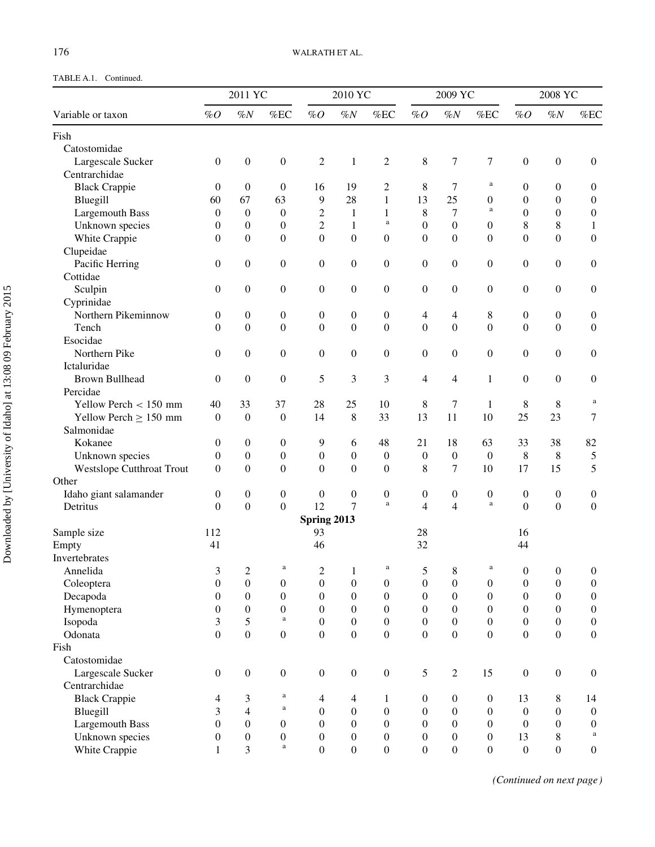## TABLE A.1. Continued.

|                                  | 2011 YC          |                          |                            |                  | 2010 YC                            |                              |                  | 2009 YC                  |                              | 2008 YC          |                  |                  |
|----------------------------------|------------------|--------------------------|----------------------------|------------------|------------------------------------|------------------------------|------------------|--------------------------|------------------------------|------------------|------------------|------------------|
| Variable or taxon                | $%$ O            | %N                       | $\%$ EC                    | $\% O$           | %N                                 | %EC                          | $%$ O            | %N                       | %EC                          | $\% O$           | $\%N$            | %EC              |
| Fish                             |                  |                          |                            |                  |                                    |                              |                  |                          |                              |                  |                  |                  |
| Catostomidae                     |                  |                          |                            |                  |                                    |                              |                  |                          |                              |                  |                  |                  |
| Largescale Sucker                | $\boldsymbol{0}$ | $\boldsymbol{0}$         | $\boldsymbol{0}$           | $\mathfrak{2}$   | $\mathbf{1}$                       | $\mathfrak{2}$               | $\,$ 8 $\,$      | $\tau$                   | $\boldsymbol{7}$             | $\boldsymbol{0}$ | $\boldsymbol{0}$ | $\boldsymbol{0}$ |
| Centrarchidae                    |                  |                          |                            |                  |                                    |                              |                  |                          |                              |                  |                  |                  |
| <b>Black Crappie</b>             | $\mathbf{0}$     | $\boldsymbol{0}$         | $\boldsymbol{0}$           | 16               | 19                                 | $\overline{c}$               | 8                | $\tau$                   | $\rm{a}$                     | $\boldsymbol{0}$ | $\boldsymbol{0}$ | $\boldsymbol{0}$ |
| Bluegill                         | 60               | 67                       | 63                         | 9                | 28                                 | $\mathbf{1}$                 | 13               | 25                       | 0                            | $\boldsymbol{0}$ | $\boldsymbol{0}$ | $\boldsymbol{0}$ |
| <b>Largemouth Bass</b>           | $\boldsymbol{0}$ | $\mathbf{0}$             | $\boldsymbol{0}$           | $\boldsymbol{2}$ | $\mathbf{1}$                       | $\mathbf{1}$                 | $\,8\,$          | $\tau$                   | $\rm{a}$                     | $\boldsymbol{0}$ | $\boldsymbol{0}$ | $\boldsymbol{0}$ |
| Unknown species                  | $\boldsymbol{0}$ | $\boldsymbol{0}$         | $\boldsymbol{0}$           | $\mathbf{2}$     | $\mathbf{1}$                       | $\rm{a}$                     | $\boldsymbol{0}$ | $\boldsymbol{0}$         | $\theta$                     | $\,8$            | 8                | $\mathbf{1}$     |
| White Crappie                    | $\boldsymbol{0}$ | $\boldsymbol{0}$         | $\mathbf{0}$               | $\boldsymbol{0}$ | $\boldsymbol{0}$                   | $\boldsymbol{0}$             | $\boldsymbol{0}$ | $\boldsymbol{0}$         | $\mathbf{0}$                 | $\boldsymbol{0}$ | $\boldsymbol{0}$ | $\boldsymbol{0}$ |
| Clupeidae                        |                  |                          |                            |                  |                                    |                              |                  |                          |                              |                  |                  |                  |
| Pacific Herring                  | $\boldsymbol{0}$ | $\boldsymbol{0}$         | $\boldsymbol{0}$           | $\boldsymbol{0}$ | $\boldsymbol{0}$                   | $\boldsymbol{0}$             | $\boldsymbol{0}$ | $\boldsymbol{0}$         | $\boldsymbol{0}$             | $\boldsymbol{0}$ | $\boldsymbol{0}$ | $\boldsymbol{0}$ |
| Cottidae                         |                  |                          |                            |                  |                                    |                              |                  |                          |                              |                  |                  |                  |
| Sculpin                          | $\boldsymbol{0}$ | $\boldsymbol{0}$         | $\boldsymbol{0}$           | $\boldsymbol{0}$ | $\boldsymbol{0}$                   | $\boldsymbol{0}$             | $\boldsymbol{0}$ | $\boldsymbol{0}$         | $\boldsymbol{0}$             | $\boldsymbol{0}$ | $\boldsymbol{0}$ | $\boldsymbol{0}$ |
| Cyprinidae                       |                  |                          |                            |                  |                                    |                              |                  |                          |                              |                  |                  |                  |
| Northern Pikeminnow              | $\boldsymbol{0}$ | $\boldsymbol{0}$         | $\boldsymbol{0}$           | $\boldsymbol{0}$ | $\boldsymbol{0}$                   | $\boldsymbol{0}$             | 4                | 4                        | 8                            | $\boldsymbol{0}$ | $\boldsymbol{0}$ | $\boldsymbol{0}$ |
| Tench                            | $\boldsymbol{0}$ | $\boldsymbol{0}$         | $\overline{0}$             | $\boldsymbol{0}$ | $\boldsymbol{0}$                   | $\boldsymbol{0}$             | $\boldsymbol{0}$ | $\boldsymbol{0}$         | $\overline{0}$               | $\boldsymbol{0}$ | $\boldsymbol{0}$ | $\boldsymbol{0}$ |
| Esocidae                         |                  |                          |                            |                  |                                    |                              |                  |                          |                              |                  |                  |                  |
| Northern Pike                    | $\boldsymbol{0}$ | $\boldsymbol{0}$         | $\boldsymbol{0}$           | $\boldsymbol{0}$ | 0                                  | $\boldsymbol{0}$             | $\boldsymbol{0}$ | $\boldsymbol{0}$         | $\boldsymbol{0}$             | $\boldsymbol{0}$ | $\boldsymbol{0}$ | $\boldsymbol{0}$ |
| Ictaluridae                      |                  |                          |                            |                  |                                    |                              |                  |                          |                              |                  |                  |                  |
| <b>Brown Bullhead</b>            | $\boldsymbol{0}$ | $\boldsymbol{0}$         | $\boldsymbol{0}$           | 5                | 3                                  | 3                            | $\overline{4}$   | $\overline{\mathcal{A}}$ | $\mathbf{1}$                 | $\boldsymbol{0}$ | $\boldsymbol{0}$ | $\boldsymbol{0}$ |
| Percidae                         |                  |                          |                            |                  |                                    |                              |                  |                          |                              |                  |                  |                  |
| Yellow Perch $< 150$ mm          | 40               | 33                       | 37                         | 28               | 25                                 | 10                           | 8                | 7                        | $\mathbf{1}$                 | 8                | 8                | $\rm{a}$         |
| Yellow Perch $\geq 150$ mm       | $\boldsymbol{0}$ | $\boldsymbol{0}$         | $\boldsymbol{0}$           | 14               | 8                                  | 33                           | 13               | 11                       | 10                           | 25               | 23               | $\boldsymbol{7}$ |
| Salmonidae                       |                  |                          |                            |                  |                                    |                              |                  |                          |                              |                  |                  |                  |
| Kokanee                          |                  | $\boldsymbol{0}$         | $\boldsymbol{0}$           |                  |                                    | 48                           | 21               | 18                       | 63                           | 33               | 38               | 82               |
|                                  | $\boldsymbol{0}$ | $\boldsymbol{0}$         | $\boldsymbol{0}$           | 9                | 6                                  | $\boldsymbol{0}$             | $\boldsymbol{0}$ | $\boldsymbol{0}$         | $\boldsymbol{0}$             | 8                | 8                |                  |
| Unknown species                  | $\boldsymbol{0}$ | $\boldsymbol{0}$         |                            | $\boldsymbol{0}$ | $\boldsymbol{0}$                   |                              |                  |                          | 10                           |                  | 15               | 5<br>5           |
| <b>Westslope Cutthroat Trout</b> | $\boldsymbol{0}$ |                          | $\boldsymbol{0}$           | $\boldsymbol{0}$ | $\boldsymbol{0}$                   | $\boldsymbol{0}$             | 8                | 7                        |                              | 17               |                  |                  |
| Other                            |                  |                          |                            |                  |                                    |                              |                  |                          |                              |                  |                  |                  |
| Idaho giant salamander           | $\boldsymbol{0}$ | $\boldsymbol{0}$         | $\boldsymbol{0}$           | $\boldsymbol{0}$ | $\boldsymbol{0}$<br>$\overline{7}$ | $\boldsymbol{0}$<br>$\rm{a}$ | $\boldsymbol{0}$ | $\boldsymbol{0}$         | $\boldsymbol{0}$<br>$\rm{a}$ | $\boldsymbol{0}$ | $\boldsymbol{0}$ | $\boldsymbol{0}$ |
| Detritus                         | $\boldsymbol{0}$ | $\boldsymbol{0}$         | $\mathbf{0}$               | 12               |                                    |                              | 4                | $\overline{4}$           |                              | $\boldsymbol{0}$ | $\mathbf{0}$     | $\boldsymbol{0}$ |
|                                  |                  |                          |                            | Spring 2013      |                                    |                              |                  |                          |                              |                  |                  |                  |
| Sample size                      | 112              |                          |                            | 93               |                                    |                              | 28               |                          |                              | 16               |                  |                  |
| Empty                            | 41               |                          |                            | 46               |                                    |                              | 32               |                          |                              | 44               |                  |                  |
| Invertebrates                    |                  |                          | a                          |                  |                                    | a                            |                  |                          | a                            |                  |                  |                  |
| Annelida                         | 3                | 2                        |                            | 2                | 1                                  |                              | 5                | 8                        |                              | $\boldsymbol{0}$ | 0                | $\boldsymbol{0}$ |
| Coleoptera                       | $\boldsymbol{0}$ | $\boldsymbol{0}$         | $\boldsymbol{0}$           | $\boldsymbol{0}$ | $\boldsymbol{0}$                   | $\boldsymbol{0}$             | $\boldsymbol{0}$ | 0                        | $\boldsymbol{0}$             | $\boldsymbol{0}$ | 0                | $\boldsymbol{0}$ |
| Decapoda                         | $\boldsymbol{0}$ | $\boldsymbol{0}$         | $\boldsymbol{0}$           | $\boldsymbol{0}$ | $\boldsymbol{0}$                   | $\boldsymbol{0}$             | $\boldsymbol{0}$ | $\boldsymbol{0}$         | $\mathbf{0}$                 | $\mathbf{0}$     | $\overline{0}$   | $\boldsymbol{0}$ |
| Hymenoptera                      | $\boldsymbol{0}$ | $\boldsymbol{0}$         | $\overline{0}$<br>$\rm{a}$ | $\boldsymbol{0}$ | $\overline{0}$                     | $\mathbf{0}$                 | $\boldsymbol{0}$ | $\boldsymbol{0}$         | $\mathbf{0}$                 | $\overline{0}$   | $\boldsymbol{0}$ | $\boldsymbol{0}$ |
| Isopoda                          | 3                | 5                        |                            | $\boldsymbol{0}$ | $\overline{0}$                     | $\mathbf{0}$                 | $\boldsymbol{0}$ | 0                        | $\boldsymbol{0}$             | $\boldsymbol{0}$ | 0                | $\boldsymbol{0}$ |
| Odonata                          | $\boldsymbol{0}$ | $\boldsymbol{0}$         | $\boldsymbol{0}$           | $\boldsymbol{0}$ | $\boldsymbol{0}$                   | $\boldsymbol{0}$             | $\boldsymbol{0}$ | $\boldsymbol{0}$         | $\mathbf{0}$                 | $\boldsymbol{0}$ | $\boldsymbol{0}$ | $\boldsymbol{0}$ |
| Fish                             |                  |                          |                            |                  |                                    |                              |                  |                          |                              |                  |                  |                  |
| Catostomidae                     |                  |                          |                            |                  |                                    |                              |                  |                          |                              |                  |                  |                  |
| Largescale Sucker                | $\boldsymbol{0}$ | $\boldsymbol{0}$         | $\boldsymbol{0}$           | $\boldsymbol{0}$ | $\boldsymbol{0}$                   | $\boldsymbol{0}$             | 5                | $\overline{2}$           | 15                           | $\boldsymbol{0}$ | $\boldsymbol{0}$ | $\boldsymbol{0}$ |
| Centrarchidae                    |                  |                          |                            |                  |                                    |                              |                  |                          |                              |                  |                  |                  |
| <b>Black Crappie</b>             | $\overline{4}$   | 3                        | $\rm{a}$                   | 4                | $\overline{4}$                     | 1                            | $\boldsymbol{0}$ | $\boldsymbol{0}$         | $\boldsymbol{0}$             | 13               | 8                | 14               |
| Bluegill                         | 3                | $\overline{\mathcal{L}}$ | a                          | $\theta$         | $\overline{0}$                     | $\overline{0}$               | 0                | $\mathbf{0}$             | $\mathbf{0}$                 | $\boldsymbol{0}$ | $\mathbf{0}$     | $\boldsymbol{0}$ |
| <b>Largemouth Bass</b>           | $\overline{0}$   | $\mathbf{0}$             | $\boldsymbol{0}$           | $\overline{0}$   | $\overline{0}$                     | $\mathbf{0}$                 | $\mathbf{0}$     | $\mathbf{0}$             | $\mathbf{0}$                 | $\boldsymbol{0}$ | $\theta$         | $\boldsymbol{0}$ |
| Unknown species                  | $\boldsymbol{0}$ | $\boldsymbol{0}$         | $\boldsymbol{0}$           | $\boldsymbol{0}$ | 0                                  | $\boldsymbol{0}$             | $\boldsymbol{0}$ | $\boldsymbol{0}$         | $\boldsymbol{0}$             | 13               | 8                | $\rm{a}$         |
| White Crappie                    | 1                | 3                        | $\mathbf a$                | $\boldsymbol{0}$ | $\boldsymbol{0}$                   | $\boldsymbol{0}$             | $\boldsymbol{0}$ | $\boldsymbol{0}$         | $\boldsymbol{0}$             | $\boldsymbol{0}$ | $\boldsymbol{0}$ | $\boldsymbol{0}$ |

(Continued on next page )